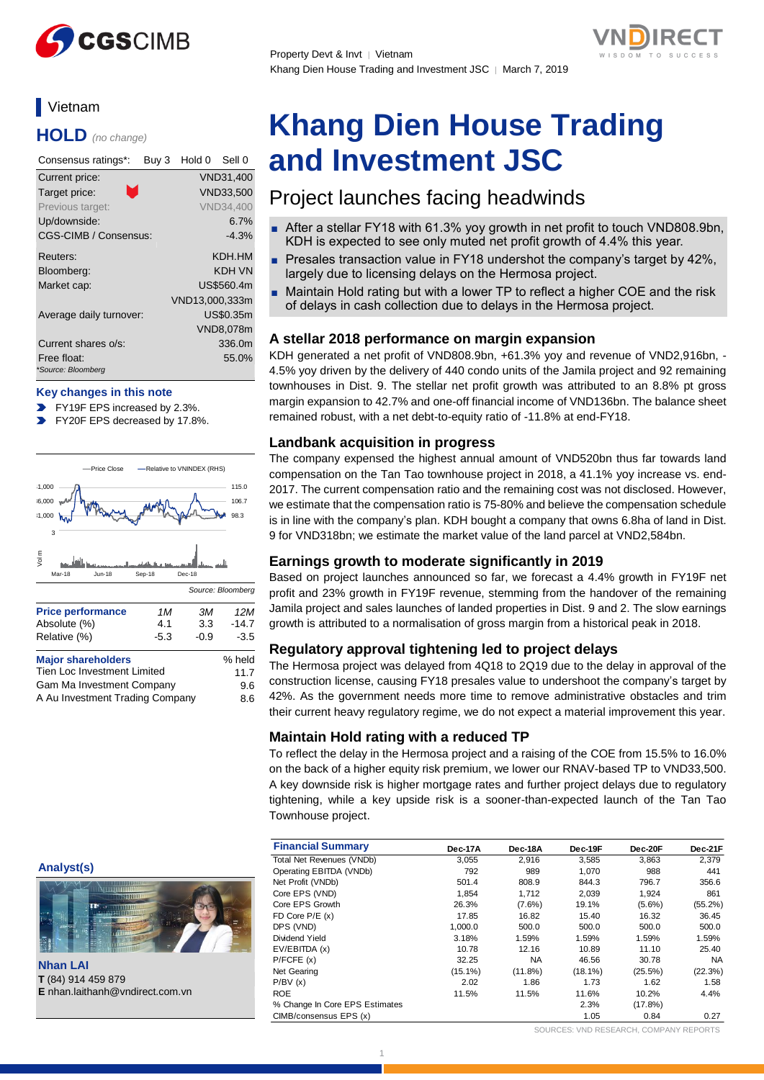

# **Vietnam**

**HOLD** *(no change)*

| Consensus ratings*:               | Buy 3 | Hold 0         | Sell 0           |
|-----------------------------------|-------|----------------|------------------|
| Current price:                    |       |                | VND31,400        |
| Τ.<br>Target price:               |       |                | <b>VND33.500</b> |
| Previous target:                  |       |                | <b>VND34,400</b> |
| Up/downside:                      |       |                | $6.7\%$          |
| CGS-CIMB / Consensus:             |       |                | $-4.3%$          |
| Reuters:                          |       |                | KDH.HM           |
| Bloomberg:                        |       |                | KDH VN           |
| Market cap:                       |       |                | US\$560.4m       |
|                                   |       | VND13,000,333m |                  |
| Average daily turnover:           |       |                | US\$0.35m        |
|                                   |       |                | VND8,078m        |
| Current shares o/s:               |       |                | 336.0m           |
| Free float:<br>*Source: Bloomberg |       |                | 55.0%            |

#### **Key changes in this note**

- FY19F EPS increased by 2.3%.
- FY20F EPS decreased by 17.8%.



A Au Investment Trading Company 8.6

#### **Analyst(s)**





# **Khang Dien House Trading and Investment JSC**

# Project launches facing headwinds

- After a stellar FY18 with 61.3% yoy growth in net profit to touch VND808.9bn, KDH is expected to see only muted net profit growth of 4.4% this year.
- Presales transaction value in FY18 undershot the company's target by 42%, largely due to licensing delays on the Hermosa project.
- Maintain Hold rating but with a lower TP to reflect a higher COE and the risk of delays in cash collection due to delays in the Hermosa project.

# **A stellar 2018 performance on margin expansion**

KDH generated a net profit of VND808.9bn, +61.3% yoy and revenue of VND2,916bn, - 4.5% yoy driven by the delivery of 440 condo units of the Jamila project and 92 remaining townhouses in Dist. 9. The stellar net profit growth was attributed to an 8.8% pt gross margin expansion to 42.7% and one-off financial income of VND136bn. The balance sheet remained robust, with a net debt-to-equity ratio of -11.8% at end-FY18.

### **Landbank acquisition in progress**

The company expensed the highest annual amount of VND520bn thus far towards land compensation on the Tan Tao townhouse project in 2018, a 41.1% yoy increase vs. end-2017. The current compensation ratio and the remaining cost was not disclosed. However, we estimate that the compensation ratio is 75-80% and believe the compensation schedule is in line with the company's plan. KDH bought a company that owns 6.8ha of land in Dist. 9 for VND318bn; we estimate the market value of the land parcel at VND2,584bn.

### **Earnings growth to moderate significantly in 2019**

Based on project launches announced so far, we forecast a 4.4% growth in FY19F net profit and 23% growth in FY19F revenue, stemming from the handover of the remaining Jamila project and sales launches of landed properties in Dist. 9 and 2. The slow earnings growth is attributed to a normalisation of gross margin from a historical peak in 2018.

### **Regulatory approval tightening led to project delays**

The Hermosa project was delayed from 4Q18 to 2Q19 due to the delay in approval of the construction license, causing FY18 presales value to undershoot the company's target by 42%. As the government needs more time to remove administrative obstacles and trim their current heavy regulatory regime, we do not expect a material improvement this year.

# **Maintain Hold rating with a reduced TP**

To reflect the delay in the Hermosa project and a raising of the COE from 15.5% to 16.0% on the back of a higher equity risk premium, we lower our RNAV-based TP to VND33,500. A key downside risk is higher mortgage rates and further project delays due to regulatory tightening, while a key upside risk is a sooner-than-expected launch of the Tan Tao Townhouse project.

|                                        | <b>Financial Summary</b>       | Dec-17A    | Dec-18A    | Dec-19F    | Dec-20F    | Dec-21F    |
|----------------------------------------|--------------------------------|------------|------------|------------|------------|------------|
|                                        | Total Net Revenues (VNDb)      | 3,055      | 2,916      | 3,585      | 3,863      | 2,379      |
| Analyst(s)                             | Operating EBITDA (VNDb)        | 792        | 989        | 1,070      | 988        | 441        |
|                                        | Net Profit (VNDb)              | 501.4      | 808.9      | 844.3      | 796.7      | 356.6      |
| <b>BUTTLE</b>                          | Core EPS (VND)                 | 1,854      | 1,712      | 2,039      | 1,924      | 861        |
| <b>THEF77</b>                          | Core EPS Growth                | 26.3%      | $(7.6\%)$  | 19.1%      | $(5.6\%)$  | $(55.2\%)$ |
| $\frac{1}{2}$                          | FD Core $P/E(x)$               | 17.85      | 16.82      | 15.40      | 16.32      | 36.45      |
|                                        | DPS (VND)                      | 1,000.0    | 500.0      | 500.0      | 500.0      | 500.0      |
| ÷.                                     | Dividend Yield                 | 3.18%      | 1.59%      | 1.59%      | 1.59%      | 1.59%      |
|                                        | EV/EBITDA (x)                  | 10.78      | 12.16      | 10.89      | 11.10      | 25.40      |
|                                        | P/FCFE(x)                      | 32.25      | <b>NA</b>  | 46.56      | 30.78      | <b>NA</b>  |
| <b>Nhan LAI</b>                        | Net Gearing                    | $(15.1\%)$ | $(11.8\%)$ | $(18.1\%)$ | $(25.5\%)$ | (22.3%)    |
| T (84) 914 459 879                     | P/BV(x)                        | 2.02       | 1.86       | 1.73       | 1.62       | 1.58       |
| <b>E</b> nhan.laithanh@vndirect.com.vn | <b>ROE</b>                     | 11.5%      | 11.5%      | 11.6%      | 10.2%      | 4.4%       |
|                                        | % Change In Core EPS Estimates |            |            | 2.3%       | $(17.8\%)$ |            |
|                                        | CIMB/consensus EPS (x)         |            |            | 1.05       | 0.84       | 0.27       |

SOURCES: VND RESEARCH, COMPANY REPORTS

**[Add FP Header]**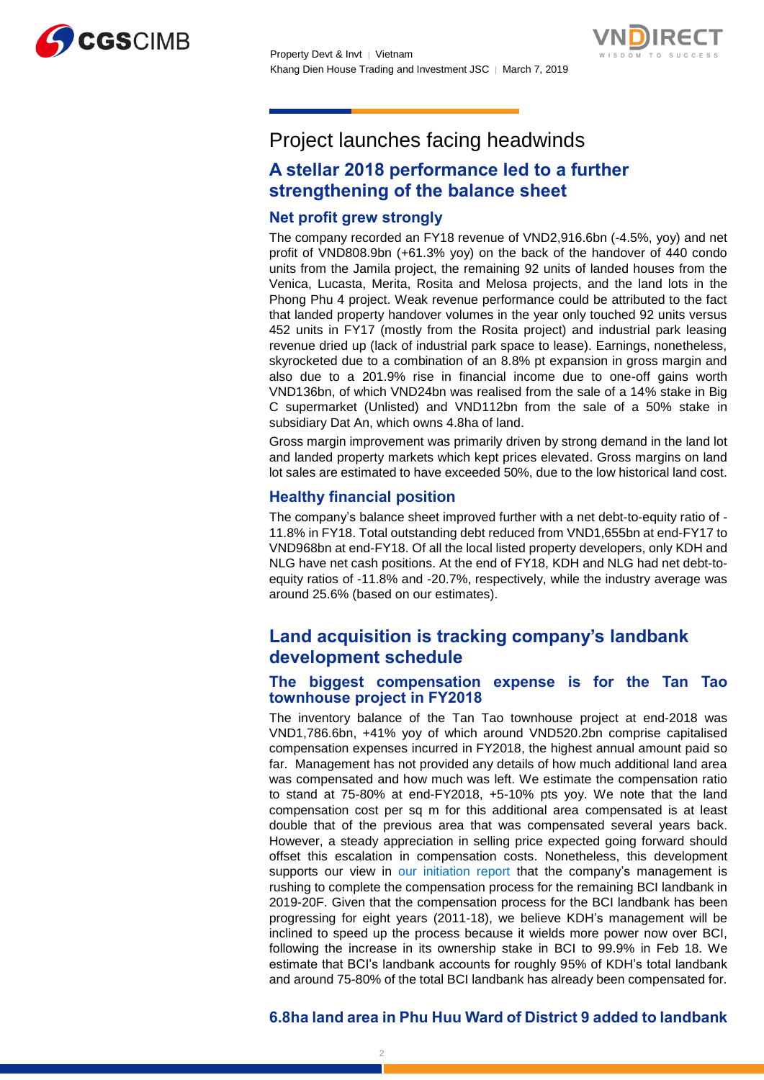



# Project launches facing headwinds

# **A stellar 2018 performance led to a further strengthening of the balance sheet**

# **Net profit grew strongly**

The company recorded an FY18 revenue of VND2,916.6bn (-4.5%, yoy) and net profit of VND808.9bn (+61.3% yoy) on the back of the handover of 440 condo units from the Jamila project, the remaining 92 units of landed houses from the Venica, Lucasta, Merita, Rosita and Melosa projects, and the land lots in the Phong Phu 4 project. Weak revenue performance could be attributed to the fact that landed property handover volumes in the year only touched 92 units versus 452 units in FY17 (mostly from the Rosita project) and industrial park leasing revenue dried up (lack of industrial park space to lease). Earnings, nonetheless, skyrocketed due to a combination of an 8.8% pt expansion in gross margin and also due to a 201.9% rise in financial income due to one-off gains worth VND136bn, of which VND24bn was realised from the sale of a 14% stake in Big C supermarket (Unlisted) and VND112bn from the sale of a 50% stake in subsidiary Dat An, which owns 4.8ha of land.

Gross margin improvement was primarily driven by strong demand in the land lot and landed property markets which kept prices elevated. Gross margins on land lot sales are estimated to have exceeded 50%, due to the low historical land cost.

# **Healthy financial position**

The company's balance sheet improved further with a net debt-to-equity ratio of - 11.8% in FY18. Total outstanding debt reduced from VND1,655bn at end-FY17 to VND968bn at end-FY18. Of all the local listed property developers, only KDH and NLG have net cash positions. At the end of FY18, KDH and NLG had net debt-toequity ratios of -11.8% and -20.7%, respectively, while the industry average was around 25.6% (based on our estimates).

# **Land acquisition is tracking company's landbank development schedule**

# **The biggest compensation expense is for the Tan Tao townhouse project in FY2018**

The inventory balance of the Tan Tao townhouse project at end-2018 was VND1,786.6bn, +41% yoy of which around VND520.2bn comprise capitalised compensation expenses incurred in FY2018, the highest annual amount paid so far. Management has not provided any details of how much additional land area was compensated and how much was left. We estimate the compensation ratio to stand at 75-80% at end-FY2018, +5-10% pts yoy. We note that the land compensation cost per sq m for this additional area compensated is at least double that of the previous area that was compensated several years back. However, a steady appreciation in selling price expected going forward should offset this escalation in compensation costs. Nonetheless, this development supports our view in [our initiation report](https://static-02.vndirect.com.vn/uploads/prod/Vietnam-Real-Estate-Sector_initiation_20180823.pdf) that the company's management is rushing to complete the compensation process for the remaining BCI landbank in 2019-20F. Given that the compensation process for the BCI landbank has been progressing for eight years (2011-18), we believe KDH's management will be inclined to speed up the process because it wields more power now over BCI, following the increase in its ownership stake in BCI to 99.9% in Feb 18. We estimate that BCI's landbank accounts for roughly 95% of KDH's total landbank and around 75-80% of the total BCI landbank has already been compensated for.

# **6.8ha land area in Phu Huu Ward of District 9 added to landbank**

 $\mathcal{D}$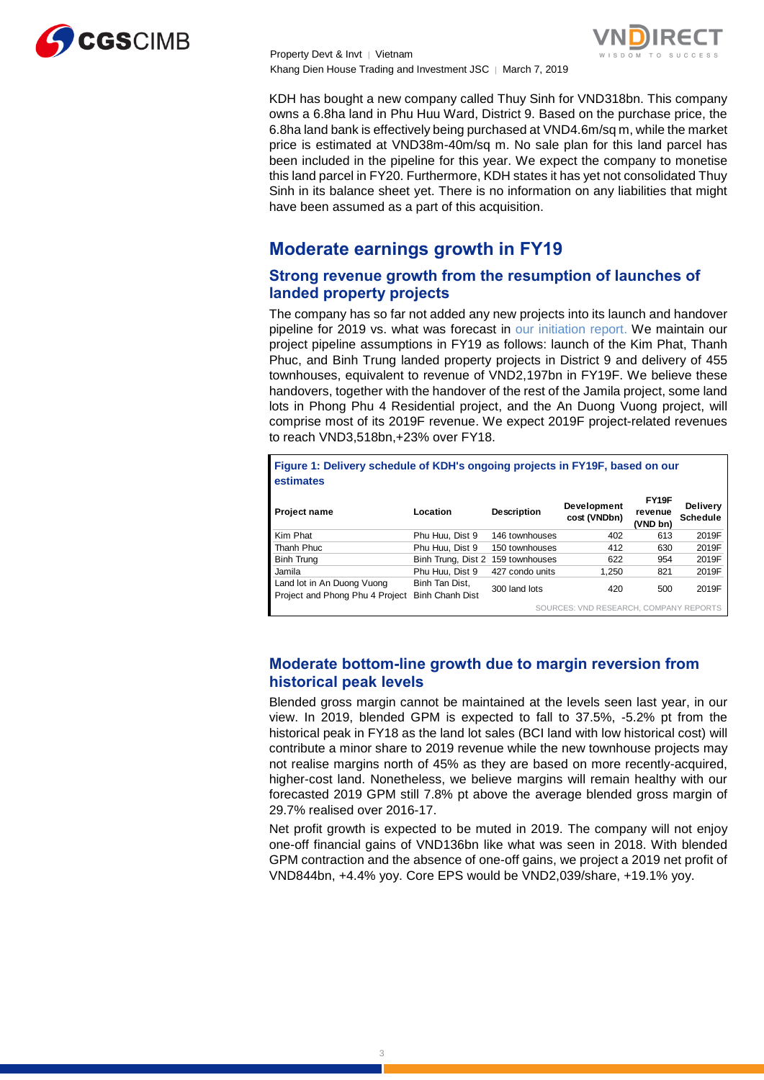

Property Devt & Invt │ Vietnam Khang Dien House Trading and Investment JSC ∣ March 7, 2019



KDH has bought a new company called Thuy Sinh for VND318bn. This company owns a 6.8ha land in Phu Huu Ward, District 9. Based on the purchase price, the 6.8ha land bank is effectively being purchased at VND4.6m/sq m, while the market price is estimated at VND38m-40m/sq m. No sale plan for this land parcel has been included in the pipeline for this year. We expect the company to monetise this land parcel in FY20. Furthermore, KDH states it has yet not consolidated Thuy Sinh in its balance sheet yet. There is no information on any liabilities that might have been assumed as a part of this acquisition.

# **Moderate earnings growth in FY19**

# **Strong revenue growth from the resumption of launches of landed property projects**

The company has so far not added any new projects into its launch and handover pipeline for 2019 vs. what was forecast in [our initiation report.](https://static-02.vndirect.com.vn/uploads/prod/Vietnam-Real-Estate-Sector_initiation_20180823.pdf) We maintain our project pipeline assumptions in FY19 as follows: launch of the Kim Phat, Thanh Phuc, and Binh Trung landed property projects in District 9 and delivery of 455 townhouses, equivalent to revenue of VND2,197bn in FY19F. We believe these handovers, together with the handover of the rest of the Jamila project, some land lots in Phong Phu 4 Residential project, and the An Duong Vuong project, will comprise most of its 2019F revenue. We expect 2019F project-related revenues to reach VND3,518bn,+23% over FY18.

**Figure 1: Delivery schedule of KDH's ongoing projects in FY19F, based on our estimates**

| <b>Project name</b>                                           | Location                                 | <b>Description</b> | Development<br>cost (VNDbn)            | FY19F<br>revenue<br>(VND bn) | <b>Delivery</b><br><b>Schedule</b> |
|---------------------------------------------------------------|------------------------------------------|--------------------|----------------------------------------|------------------------------|------------------------------------|
| Kim Phat                                                      | Phu Huu. Dist 9                          | 146 townhouses     | 402                                    | 613                          | 2019F                              |
| Thanh Phuc                                                    | Phu Huu. Dist 9                          | 150 townhouses     | 412                                    | 630                          | 2019F                              |
| <b>Binh Trung</b>                                             | Binh Trung, Dist 2 159 townhouses        |                    | 622                                    | 954                          | 2019F                              |
| Jamila                                                        | Phu Huu. Dist 9                          | 427 condo units    | 1.250                                  | 821                          | 2019F                              |
| Land lot in An Duong Vuong<br>Project and Phong Phu 4 Project | Binh Tan Dist,<br><b>Binh Chanh Dist</b> | 300 land lots      | 420                                    | 500                          | 2019F                              |
|                                                               |                                          |                    | COURCES LINID RESEARCH COMPANY REBORTS |                              |                                    |

SOURCES: VND RESEARCH, COMPANY REPORTS

# **Moderate bottom-line growth due to margin reversion from historical peak levels**

Blended gross margin cannot be maintained at the levels seen last year, in our view. In 2019, blended GPM is expected to fall to 37.5%, -5.2% pt from the historical peak in FY18 as the land lot sales (BCI land with low historical cost) will contribute a minor share to 2019 revenue while the new townhouse projects may not realise margins north of 45% as they are based on more recently-acquired, higher-cost land. Nonetheless, we believe margins will remain healthy with our forecasted 2019 GPM still 7.8% pt above the average blended gross margin of 29.7% realised over 2016-17.

Net profit growth is expected to be muted in 2019. The company will not enjoy one-off financial gains of VND136bn like what was seen in 2018. With blended GPM contraction and the absence of one-off gains, we project a 2019 net profit of VND844bn, +4.4% yoy. Core EPS would be VND2,039/share, +19.1% yoy.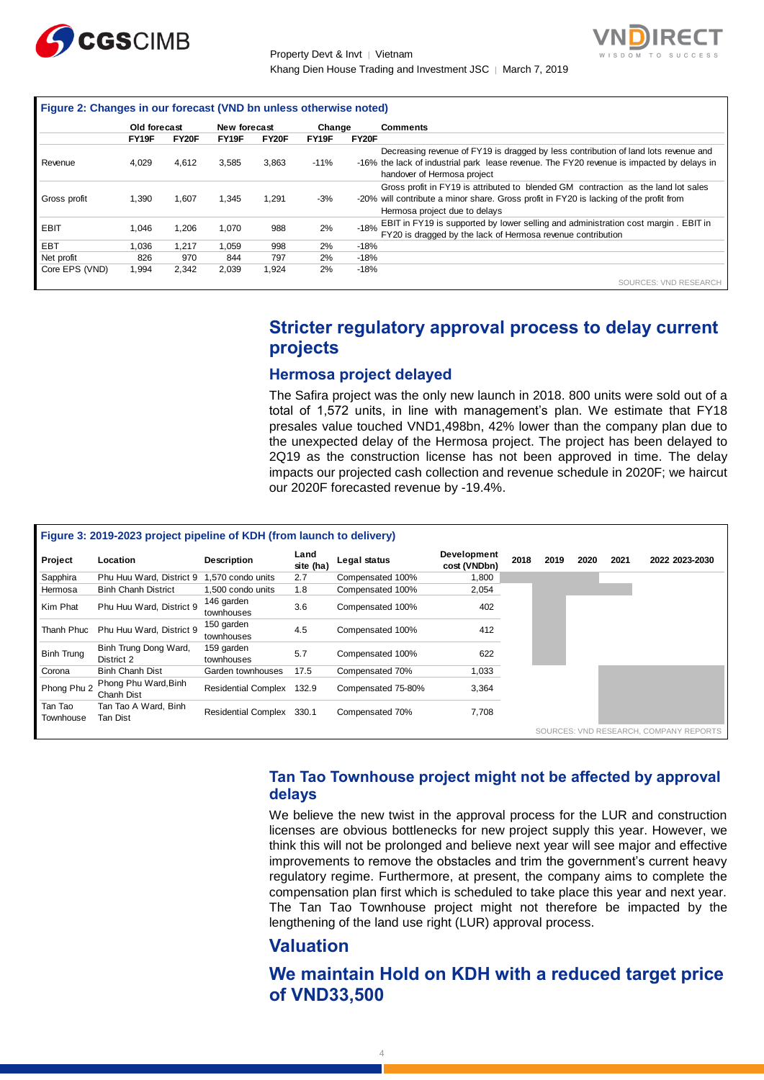

Property Devt & Invt │ Vietnam Khang Dien House Trading and Investment JSC | March 7, 2019



| Figure 2: Changes in our forecast (VND bn unless otherwise noted) |              |       |              |       |        |        |                                                                                                                                                                                                                 |
|-------------------------------------------------------------------|--------------|-------|--------------|-------|--------|--------|-----------------------------------------------------------------------------------------------------------------------------------------------------------------------------------------------------------------|
|                                                                   | Old forecast |       | New forecast |       | Change |        | <b>Comments</b>                                                                                                                                                                                                 |
|                                                                   | FY19F        | FY20F | FY19F        | FY20F | FY19F  | FY20F  |                                                                                                                                                                                                                 |
| Revenue                                                           | 4.029        | 4.612 | 3,585        | 3.863 | $-11%$ |        | Decreasing revenue of FY19 is dragged by less contribution of land lots revenue and<br>-16% the lack of industrial park lease revenue. The FY20 revenue is impacted by delays in<br>handover of Hermosa project |
| Gross profit                                                      | 1,390        | 1.607 | 1,345        | 1.291 | $-3%$  |        | Gross profit in FY19 is attributed to blended GM contraction as the land lot sales<br>-20% will contribute a minor share. Gross profit in FY20 is lacking of the profit from<br>Hermosa project due to delays   |
| EBIT                                                              | 1.046        | 1,206 | 1,070        | 988   | 2%     | $-18%$ | EBIT in FY19 is supported by lower selling and administration cost margin . EBIT in<br>FY20 is dragged by the lack of Hermosa revenue contribution                                                              |
| EBT                                                               | 1.036        | 1.217 | 1.059        | 998   | 2%     | $-18%$ |                                                                                                                                                                                                                 |
| Net profit                                                        | 826          | 970   | 844          | 797   | 2%     | $-18%$ |                                                                                                                                                                                                                 |
| Core EPS (VND)                                                    | 1,994        | 2.342 | 2,039        | 1.924 | 2%     | $-18%$ |                                                                                                                                                                                                                 |
|                                                                   |              |       |              |       |        |        | SOURCES: VND RESEARCH                                                                                                                                                                                           |

# **Stricter regulatory approval process to delay current projects**

# **Hermosa project delayed**

| Revenue                      |                                                                       | Old forecast | New forecast                    |              |                   | Change<br>Comments                                                                                                                                                                                                                                                                                                                                                                                                                                                                                                                      |                                                                                                                     |      |      |      |      |                                                                                                                                                                                  |
|------------------------------|-----------------------------------------------------------------------|--------------|---------------------------------|--------------|-------------------|-----------------------------------------------------------------------------------------------------------------------------------------------------------------------------------------------------------------------------------------------------------------------------------------------------------------------------------------------------------------------------------------------------------------------------------------------------------------------------------------------------------------------------------------|---------------------------------------------------------------------------------------------------------------------|------|------|------|------|----------------------------------------------------------------------------------------------------------------------------------------------------------------------------------|
|                              | FY19F                                                                 | FY20F        | FY19F                           | FY20F        | FY19F             | FY20F                                                                                                                                                                                                                                                                                                                                                                                                                                                                                                                                   |                                                                                                                     |      |      |      |      |                                                                                                                                                                                  |
|                              | 4,029                                                                 | 4,612        | 3,585                           | 3,863        | $-11%$            |                                                                                                                                                                                                                                                                                                                                                                                                                                                                                                                                         | handover of Hermosa project                                                                                         |      |      |      |      | Decreasing revenue of FY19 is dragged by less contribution of land lots revenue and<br>-16% the lack of industrial park lease revenue. The FY20 revenue is impacted by delays in |
| Gross profit                 | 1,390                                                                 | 1,607        | 1,345                           | 1,291        | $-3%$             | -20% will contribute a minor share. Gross profit in FY20 is lacking of the profit from                                                                                                                                                                                                                                                                                                                                                                                                                                                  | Gross profit in FY19 is attributed to blended GM contraction as the land lot sales<br>Hermosa project due to delays |      |      |      |      |                                                                                                                                                                                  |
| EBIT                         | 1,046                                                                 | 1,206        | 1,070                           | 988          | 2%                | $-18%$                                                                                                                                                                                                                                                                                                                                                                                                                                                                                                                                  | FY20 is dragged by the lack of Hermosa revenue contribution                                                         |      |      |      |      | EBIT in FY19 is supported by lower selling and administration cost margin. EBIT in                                                                                               |
| EBT                          | 1,036                                                                 | 1,217        | 1,059                           | 998          | 2%                | $-18%$                                                                                                                                                                                                                                                                                                                                                                                                                                                                                                                                  |                                                                                                                     |      |      |      |      |                                                                                                                                                                                  |
| Net profit<br>Core EPS (VND) | 826<br>1,994                                                          | 970<br>2,342 | 844<br>2,039                    | 797<br>1,924 | 2%<br>2%          | $-18%$<br>$-18%$                                                                                                                                                                                                                                                                                                                                                                                                                                                                                                                        |                                                                                                                     |      |      |      |      |                                                                                                                                                                                  |
|                              |                                                                       |              |                                 |              |                   |                                                                                                                                                                                                                                                                                                                                                                                                                                                                                                                                         |                                                                                                                     |      |      |      |      | SOURCES: VND RESEARCH                                                                                                                                                            |
|                              |                                                                       |              |                                 |              | projects          | Stricter regulatory approval process to delay current                                                                                                                                                                                                                                                                                                                                                                                                                                                                                   |                                                                                                                     |      |      |      |      |                                                                                                                                                                                  |
|                              |                                                                       |              |                                 |              |                   | <b>Hermosa project delayed</b>                                                                                                                                                                                                                                                                                                                                                                                                                                                                                                          |                                                                                                                     |      |      |      |      |                                                                                                                                                                                  |
|                              |                                                                       |              |                                 |              |                   | The Safira project was the only new launch in 2018. 800 units were sold out of a<br>total of 1,572 units, in line with management's plan. We estimate that FY18<br>presales value touched VND1,498bn, 42% lower than the company plan due to<br>the unexpected delay of the Hermosa project. The project has been delayed to<br>2Q19 as the construction license has not been approved in time. The delay<br>impacts our projected cash collection and revenue schedule in 2020F; we haircut<br>our 2020F forecasted revenue by -19.4%. |                                                                                                                     |      |      |      |      |                                                                                                                                                                                  |
|                              | Figure 3: 2019-2023 project pipeline of KDH (from launch to delivery) |              |                                 |              |                   |                                                                                                                                                                                                                                                                                                                                                                                                                                                                                                                                         |                                                                                                                     |      |      |      |      |                                                                                                                                                                                  |
| Project                      | Location                                                              |              | <b>Description</b>              |              | Land<br>site (ha) | Legal status                                                                                                                                                                                                                                                                                                                                                                                                                                                                                                                            | Development<br>cost (VNDbn)                                                                                         | 2018 | 2019 | 2020 | 2021 | 2022 2023-2030                                                                                                                                                                   |
| Sapphira                     | Phu Huu Ward, District 9 1,570 condo units                            |              |                                 |              | 2.7               | Compensated 100%                                                                                                                                                                                                                                                                                                                                                                                                                                                                                                                        | 1,800                                                                                                               |      |      |      |      |                                                                                                                                                                                  |
| Hermosa                      | <b>Binh Chanh District</b>                                            |              | 1,500 condo units<br>146 garden |              | 1.8               | Compensated 100%                                                                                                                                                                                                                                                                                                                                                                                                                                                                                                                        | 2,054                                                                                                               |      |      |      |      |                                                                                                                                                                                  |
| Kim Phat                     | Phu Huu Ward, District 9                                              |              | townhouses<br>150 garden        |              | 3.6               | Compensated 100%                                                                                                                                                                                                                                                                                                                                                                                                                                                                                                                        | 402                                                                                                                 |      |      |      |      |                                                                                                                                                                                  |
| Thanh Phuc                   | Phu Huu Ward, District 9<br>Binh Trung Dong Ward,                     |              | townhouses<br>159 garden        |              | 4.5               | Compensated 100%                                                                                                                                                                                                                                                                                                                                                                                                                                                                                                                        | 412                                                                                                                 |      |      |      |      |                                                                                                                                                                                  |
| <b>Binh Trung</b>            | District 2                                                            |              | townhouses                      |              | 5.7               | Compensated 100%                                                                                                                                                                                                                                                                                                                                                                                                                                                                                                                        | 622                                                                                                                 |      |      |      |      |                                                                                                                                                                                  |
| Corona                       | <b>Binh Chanh Dist</b>                                                |              | Garden townhouses               |              | 17.5              | Compensated 70%                                                                                                                                                                                                                                                                                                                                                                                                                                                                                                                         | 1,033                                                                                                               |      |      |      |      |                                                                                                                                                                                  |
| Phong Phu 2                  | Phong Phu Ward, Binh<br>Chanh Dist                                    |              | Residential Complex 132.9       |              |                   | Compensated 75-80%                                                                                                                                                                                                                                                                                                                                                                                                                                                                                                                      | 3,364                                                                                                               |      |      |      |      |                                                                                                                                                                                  |
|                              | Tan Tao A Ward, Binh<br><b>Tan Dist</b>                               |              | Residential Complex 330.1       |              |                   |                                                                                                                                                                                                                                                                                                                                                                                                                                                                                                                                         |                                                                                                                     |      |      |      |      |                                                                                                                                                                                  |
| Tan Tao<br>Townhouse         |                                                                       |              |                                 |              |                   | Compensated 70%                                                                                                                                                                                                                                                                                                                                                                                                                                                                                                                         | 7,708                                                                                                               |      |      |      |      |                                                                                                                                                                                  |

# **Tan Tao Townhouse project might not be affected by approval delays**

# **Valuation**

# **We maintain Hold on KDH with a reduced target price**  of VND33,500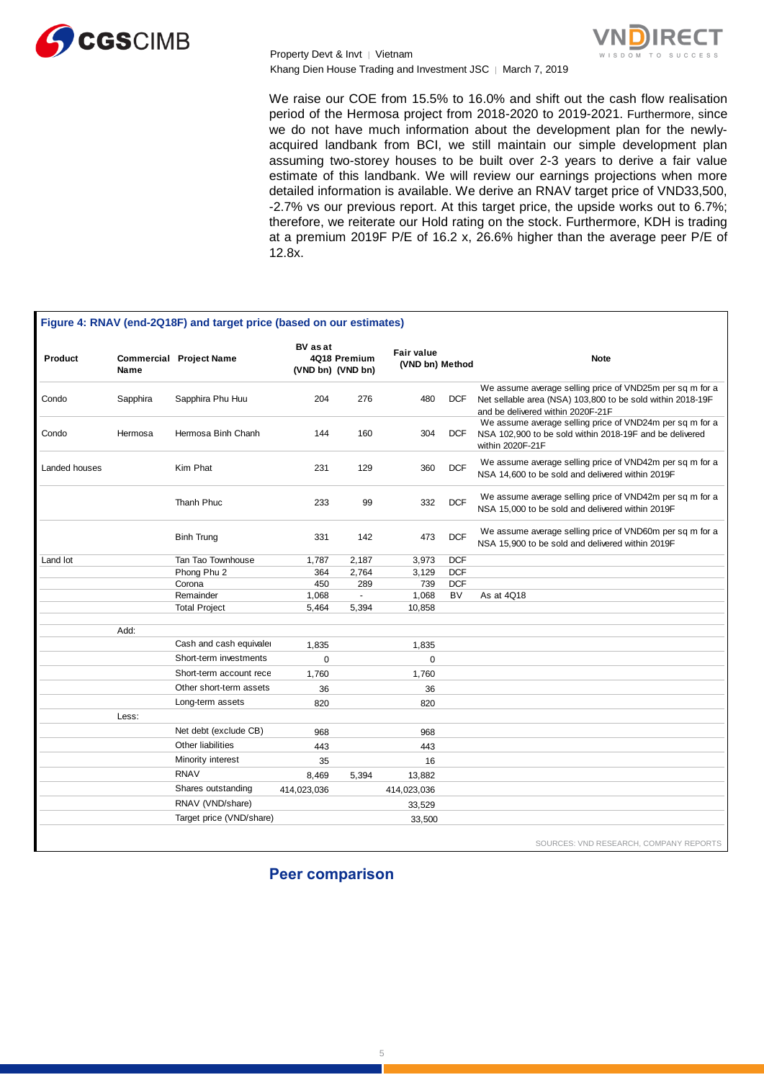

Property Devt & Invt │ Vietnam Khang Dien House Trading and Investment JSC | March 7, 2019



We raise our COE from 15.5% to 16.0% and shift out the cash flow realisation period of the Hermosa project from 2018-2020 to 2019-2021. Furthermore, since we do not have much information about the development plan for the newlyacquired landbank from BCI, we still maintain our simple development plan assuming two-storey houses to be built over 2-3 years to derive a fair value estimate of this landbank. We will review our earnings projections when more detailed information is available. We derive an RNAV target price of VND33,500, -2.7% vs our previous report. At this target price, the upside works out to 6.7%; therefore, we reiterate our Hold rating on the stock. Furthermore, KDH is trading at a premium 2019F P/E of 16.2 x, 26.6% higher than the average peer P/E of 12.8x.

|               |          | Figure 4: RNAV (end-2Q18F) and target price (based on our estimates) |                               |              |                                      |            |                                                                                                                                                             |
|---------------|----------|----------------------------------------------------------------------|-------------------------------|--------------|--------------------------------------|------------|-------------------------------------------------------------------------------------------------------------------------------------------------------------|
| Product       | Name     | <b>Commercial Project Name</b>                                       | BV as at<br>(VND bn) (VND bn) | 4Q18 Premium | <b>Fair value</b><br>(VND bn) Method |            | <b>Note</b>                                                                                                                                                 |
| Condo         | Sapphira | Sapphira Phu Huu                                                     | 204                           | 276          | 480                                  | <b>DCF</b> | We assume average selling price of VND25m per sq m for a<br>Net sellable area (NSA) 103,800 to be sold within 2018-19F<br>and be delivered within 2020F-21F |
| Condo         | Hermosa  | Hermosa Binh Chanh                                                   | 144                           | 160          | 304                                  | <b>DCF</b> | We assume average selling price of VND24m per sq m for a<br>NSA 102,900 to be sold within 2018-19F and be delivered<br>within 2020F-21F                     |
| Landed houses |          | Kim Phat                                                             | 231                           | 129          | 360                                  | <b>DCF</b> | We assume average selling price of VND42m per sq m for a<br>NSA 14,600 to be sold and delivered within 2019F                                                |
|               |          | Thanh Phuc                                                           | 233                           | 99           | 332                                  | <b>DCF</b> | We assume average selling price of VND42m per sq m for a<br>NSA 15,000 to be sold and delivered within 2019F                                                |
|               |          | <b>Binh Trung</b>                                                    | 331                           | 142          | 473                                  | <b>DCF</b> | We assume average selling price of VND60m per sq m for a<br>NSA 15,900 to be sold and delivered within 2019F                                                |
| Land lot      |          | Tan Tao Townhouse                                                    | 1,787                         | 2,187        | 3,973                                | <b>DCF</b> |                                                                                                                                                             |
|               |          | Phong Phu 2                                                          | 364                           | 2,764        | 3,129                                | <b>DCF</b> |                                                                                                                                                             |
|               |          | Corona                                                               | 450                           | 289          | 739                                  | <b>DCF</b> |                                                                                                                                                             |
|               |          | Remainder                                                            | 1,068                         | $\mathbf{r}$ | 1,068                                | <b>BV</b>  | As at 4Q18                                                                                                                                                  |
|               |          | <b>Total Project</b>                                                 | 5,464                         | 5,394        | 10,858                               |            |                                                                                                                                                             |
|               | Add:     |                                                                      |                               |              |                                      |            |                                                                                                                                                             |
|               |          | Cash and cash equivaler                                              | 1,835                         |              | 1,835                                |            |                                                                                                                                                             |
|               |          | Short-term investments                                               | 0                             |              | $\mathbf 0$                          |            |                                                                                                                                                             |
|               |          | Short-term account rece                                              |                               |              |                                      |            |                                                                                                                                                             |
|               |          | Other short-term assets                                              | 1,760                         |              | 1,760                                |            |                                                                                                                                                             |
|               |          |                                                                      | 36                            |              | 36                                   |            |                                                                                                                                                             |
|               |          | Long-term assets                                                     | 820                           |              | 820                                  |            |                                                                                                                                                             |
|               | Less:    |                                                                      |                               |              |                                      |            |                                                                                                                                                             |
|               |          | Net debt (exclude CB)                                                | 968                           |              | 968                                  |            |                                                                                                                                                             |
|               |          | Other liabilities                                                    | 443                           |              | 443                                  |            |                                                                                                                                                             |
|               |          | Minority interest                                                    | 35                            |              | 16                                   |            |                                                                                                                                                             |
|               |          | <b>RNAV</b>                                                          | 8,469                         | 5,394        | 13,882                               |            |                                                                                                                                                             |
|               |          | Shares outstanding                                                   | 414,023,036                   |              | 414,023,036                          |            |                                                                                                                                                             |
|               |          | RNAV (VND/share)                                                     |                               |              | 33,529                               |            |                                                                                                                                                             |
|               |          | Target price (VND/share)                                             |                               |              | 33,500                               |            |                                                                                                                                                             |

**Peer comparison**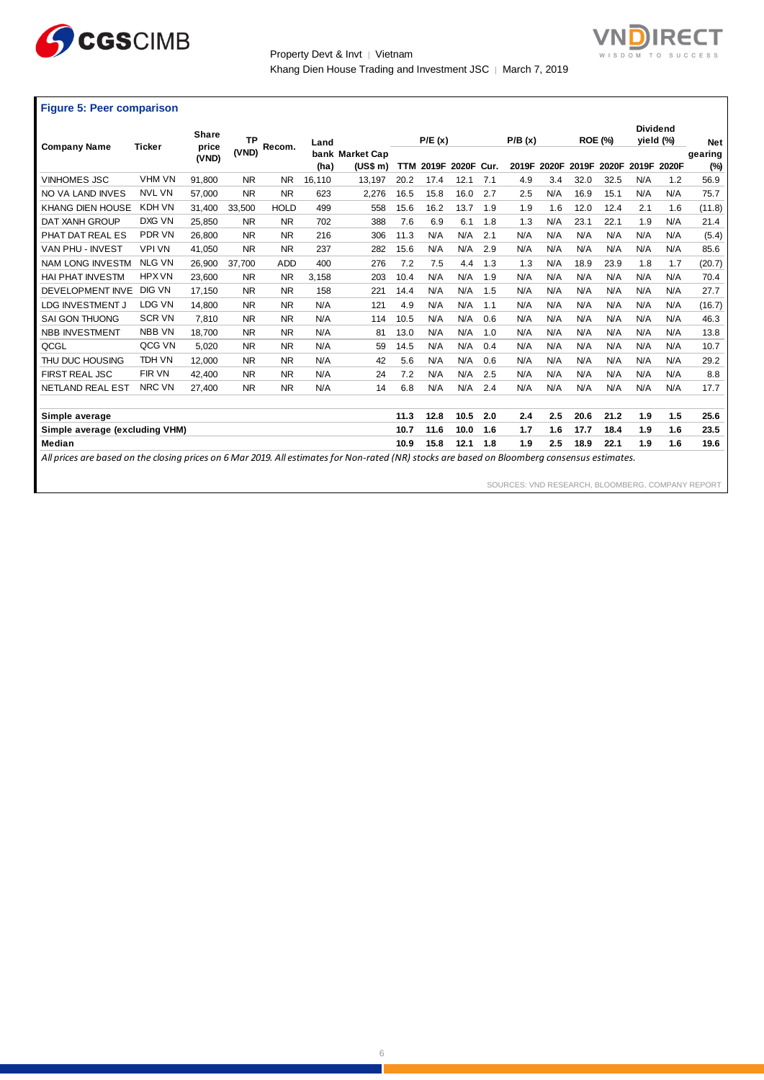

Property Devt & Invt | Vietnam Khang Dien House Trading and Investment JSC | March 7, 2019



|  |  |  |  | <b>Figure 5: Peer comparison</b> |
|--|--|--|--|----------------------------------|
|--|--|--|--|----------------------------------|

|                                                                                                                                               |               | Share  | <b>TP</b> |             | Land   |                 |            | P/E(x) |       |      | P/B(x) |       |       | <b>ROE (%)</b> |     | <b>Dividend</b><br>yield (%) | <b>Net</b> |
|-----------------------------------------------------------------------------------------------------------------------------------------------|---------------|--------|-----------|-------------|--------|-----------------|------------|--------|-------|------|--------|-------|-------|----------------|-----|------------------------------|------------|
| <b>Company Name</b>                                                                                                                           | <b>Ticker</b> | price  | (VND)     | Recom.      |        | bank Market Cap |            |        |       |      |        |       |       |                |     |                              | gearing    |
|                                                                                                                                               |               | (VND)  |           |             | (ha)   | (US\$ m)        | <b>TTM</b> | 2019F  | 2020F | Cur. | 2019F  | 2020F | 2019F | 2020F          |     | 2019F 2020F                  | $(\%)$     |
| <b>VINHOMES JSC</b>                                                                                                                           | <b>VHM VN</b> | 91,800 | <b>NR</b> | <b>NR</b>   | 16,110 | 13,197          | 20.2       | 17.4   | 12.1  | 7.1  | 4.9    | 3.4   | 32.0  | 32.5           | N/A | 1.2                          | 56.9       |
| NO VA LAND INVES                                                                                                                              | <b>NVL VN</b> | 57.000 | <b>NR</b> | NR.         | 623    | 2,276           | 16.5       | 15.8   | 16.0  | 2.7  | 2.5    | N/A   | 16.9  | 15.1           | N/A | N/A                          | 75.7       |
| <b>KHANG DIEN HOUSE</b>                                                                                                                       | KDH VN        | 31.400 | 33.500    | <b>HOLD</b> | 499    | 558             | 15.6       | 16.2   | 13.7  | 1.9  | 1.9    | 1.6   | 12.0  | 12.4           | 2.1 | 1.6                          | (11.8)     |
| DAT XANH GROUP                                                                                                                                | DXG VN        | 25.850 | <b>NR</b> | NR.         | 702    | 388             | 7.6        | 6.9    | 6.1   | 1.8  | 1.3    | N/A   | 23.1  | 22.1           | 1.9 | N/A                          | 21.4       |
| PHAT DAT REAL ES                                                                                                                              | <b>PDR VN</b> | 26,800 | <b>NR</b> | <b>NR</b>   | 216    | 306             | 11.3       | N/A    | N/A   | 2.1  | N/A    | N/A   | N/A   | N/A            | N/A | N/A                          | (5.4)      |
| VAN PHU - INVEST                                                                                                                              | <b>VPI VN</b> | 41.050 | <b>NR</b> | <b>NR</b>   | 237    | 282             | 15.6       | N/A    | N/A   | 2.9  | N/A    | N/A   | N/A   | N/A            | N/A | N/A                          | 85.6       |
| <b>NAM LONG INVESTM</b>                                                                                                                       | <b>NLG VN</b> | 26,900 | 37.700    | <b>ADD</b>  | 400    | 276             | 7.2        | 7.5    | 4.4   | 1.3  | 1.3    | N/A   | 18.9  | 23.9           | 1.8 | 1.7                          | (20.7)     |
| <b>HAI PHAT INVESTM</b>                                                                                                                       | <b>HPX VN</b> | 23,600 | <b>NR</b> | <b>NR</b>   | 3,158  | 203             | 10.4       | N/A    | N/A   | 1.9  | N/A    | N/A   | N/A   | N/A            | N/A | N/A                          | 70.4       |
| DEVELOPMENT INVE                                                                                                                              | <b>DIG VN</b> | 17.150 | <b>NR</b> | <b>NR</b>   | 158    | 221             | 14.4       | N/A    | N/A   | 1.5  | N/A    | N/A   | N/A   | N/A            | N/A | N/A                          | 27.7       |
| LDG INVESTMENT J                                                                                                                              | <b>LDG VN</b> | 14.800 | <b>NR</b> | <b>NR</b>   | N/A    | 121             | 4.9        | N/A    | N/A   | 1.1  | N/A    | N/A   | N/A   | N/A            | N/A | N/A                          | (16.7)     |
| <b>SAI GON THUONG</b>                                                                                                                         | <b>SCR VN</b> | 7.810  | <b>NR</b> | <b>NR</b>   | N/A    | 114             | 10.5       | N/A    | N/A   | 0.6  | N/A    | N/A   | N/A   | N/A            | N/A | N/A                          | 46.3       |
| <b>NBB INVESTMENT</b>                                                                                                                         | <b>NBB VN</b> | 18.700 | <b>NR</b> | <b>NR</b>   | N/A    | 81              | 13.0       | N/A    | N/A   | 1.0  | N/A    | N/A   | N/A   | N/A            | N/A | N/A                          | 13.8       |
| QCGL                                                                                                                                          | QCG VN        | 5.020  | <b>NR</b> | <b>NR</b>   | N/A    | 59              | 14.5       | N/A    | N/A   | 0.4  | N/A    | N/A   | N/A   | N/A            | N/A | N/A                          | 10.7       |
| THU DUC HOUSING                                                                                                                               | <b>TDH VN</b> | 12.000 | <b>NR</b> | <b>NR</b>   | N/A    | 42              | 5.6        | N/A    | N/A   | 0.6  | N/A    | N/A   | N/A   | N/A            | N/A | N/A                          | 29.2       |
| <b>FIRST REAL JSC</b>                                                                                                                         | FIR VN        | 42.400 | <b>NR</b> | NR.         | N/A    | 24              | 7.2        | N/A    | N/A   | 2.5  | N/A    | N/A   | N/A   | N/A            | N/A | N/A                          | 8.8        |
| <b>NETLAND REAL EST</b>                                                                                                                       | NRC VN        | 27.400 | <b>NR</b> | <b>NR</b>   | N/A    | 14              | 6.8        | N/A    | N/A   | 2.4  | N/A    | N/A   | N/A   | N/A            | N/A | N/A                          | 17.7       |
|                                                                                                                                               |               |        |           |             |        |                 |            |        |       |      |        |       |       |                |     |                              |            |
| Simple average                                                                                                                                |               |        |           |             |        |                 | 11.3       | 12.8   | 10.5  | 2.0  | 2.4    | 2.5   | 20.6  | 21.2           | 1.9 | 1.5                          | 25.6       |
| Simple average (excluding VHM)                                                                                                                |               |        |           |             |        |                 | 10.7       | 11.6   | 10.0  | 1.6  | 1.7    | 1.6   | 17.7  | 18.4           | 1.9 | 1.6                          | 23.5       |
| <b>Median</b>                                                                                                                                 |               |        |           |             |        |                 | 10.9       | 15.8   | 12.1  | 1.8  | 1.9    | 2.5   | 18.9  | 22.1           | 1.9 | 1.6                          | 19.6       |
| All prices are based on the closing prices on 6 Mar 2019. All estimates for Non-rated (NR) stocks are based on Bloomberg consensus estimates. |               |        |           |             |        |                 |            |        |       |      |        |       |       |                |     |                              |            |

SOURCES: VND RESEARCH, BLOOMBERG, COMPANY REPORT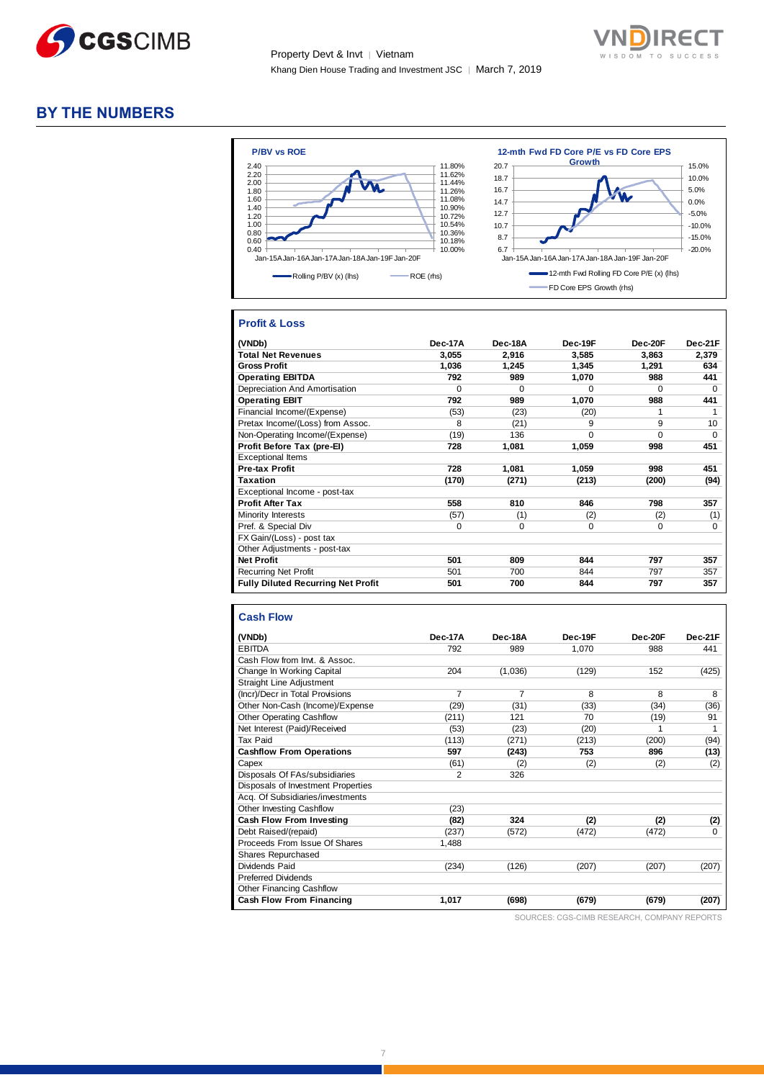



### **BY THE NUMBERS**



#### **Profit & Loss**

| (VNDb)                                    | Dec-17A  | Dec-18A  | Dec-19F  | $Dec-20F$ | Dec-21F     |
|-------------------------------------------|----------|----------|----------|-----------|-------------|
| <b>Total Net Revenues</b>                 | 3,055    | 2,916    | 3,585    | 3,863     | 2,379       |
| <b>Gross Profit</b>                       | 1,036    | 1,245    | 1,345    | 1,291     | 634         |
| <b>Operating EBITDA</b>                   | 792      | 989      | 1,070    | 988       | 441         |
| Depreciation And Amortisation             | 0        | $\Omega$ | $\Omega$ | $\Omega$  | $\Omega$    |
| <b>Operating EBIT</b>                     | 792      | 989      | 1,070    | 988       | 441         |
| Financial Income/(Expense)                | (53)     | (23)     | (20)     | 1         |             |
| Pretax Income/(Loss) from Assoc.          | 8        | (21)     | 9        | 9         | 10          |
| Non-Operating Income/(Expense)            | (19)     | 136      | $\Omega$ | $\Omega$  | $\Omega$    |
| Profit Before Tax (pre-EI)                | 728      | 1,081    | 1,059    | 998       | 451         |
| <b>Exceptional Items</b>                  |          |          |          |           |             |
| <b>Pre-tax Profit</b>                     | 728      | 1,081    | 1,059    | 998       | 451         |
| <b>Taxation</b>                           | (170)    | (271)    | (213)    | (200)     | (94)        |
| Exceptional Income - post-tax             |          |          |          |           |             |
| <b>Profit After Tax</b>                   | 558      | 810      | 846      | 798       | 357         |
| Minority Interests                        | (57)     | (1)      | (2)      | (2)       | (1)         |
| Pref. & Special Div                       | $\Omega$ | 0        | $\Omega$ | $\Omega$  | $\mathbf 0$ |
| FX Gain/(Loss) - post tax                 |          |          |          |           |             |
| Other Adjustments - post-tax              |          |          |          |           |             |
| <b>Net Profit</b>                         | 501      | 809      | 844      | 797       | 357         |
| <b>Recurring Net Profit</b>               | 501      | 700      | 844      | 797       | 357         |
| <b>Fully Diluted Recurring Net Profit</b> | 501      | 700      | 844      | 797       | 357         |

#### **Cash Flow**

| (VNDb)                             | <b>Dec-17A</b> | Dec-18A        | Dec-19F | Dec-20F | Dec-21F |
|------------------------------------|----------------|----------------|---------|---------|---------|
| <b>EBITDA</b>                      | 792            | 989            | 1.070   | 988     | 441     |
| Cash Flow from Invt & Assoc        |                |                |         |         |         |
| Change In Working Capital          | 204            | (1,036)        | (129)   | 152     | (425)   |
| <b>Straight Line Adjustment</b>    |                |                |         |         |         |
| (Incr)/Decr in Total Provisions    | $\overline{7}$ | $\overline{7}$ | 8       | 8       | 8       |
| Other Non-Cash (Income)/Expense    | (29)           | (31)           | (33)    | (34)    | (36)    |
| <b>Other Operating Cashflow</b>    | (211)          | 121            | 70      | (19)    | 91      |
| Net Interest (Paid)/Received       | (53)           | (23)           | (20)    |         |         |
| Tax Paid                           | (113)          | (271)          | (213)   | (200)   | (94)    |
| <b>Cashflow From Operations</b>    | 597            | (243)          | 753     | 896     | (13)    |
| Capex                              | (61)           | (2)            | (2)     | (2)     | (2)     |
| Disposals Of FAs/subsidiaries      | $\overline{2}$ | 326            |         |         |         |
| Disposals of Investment Properties |                |                |         |         |         |
| Acq. Of Subsidiaries/investments   |                |                |         |         |         |
| <b>Other Investing Cashflow</b>    | (23)           |                |         |         |         |
| <b>Cash Flow From Investing</b>    | (82)           | 324            | (2)     | (2)     | (2)     |
| Debt Raised/(repaid)               | (237)          | (572)          | (472)   | (472)   | O       |
| Proceeds From Issue Of Shares      | 1.488          |                |         |         |         |
| Shares Repurchased                 |                |                |         |         |         |
| Dividends Paid                     | (234)          | (126)          | (207)   | (207)   | (207)   |
| <b>Preferred Dividends</b>         |                |                |         |         |         |
| Other Financing Cashflow           |                |                |         |         |         |
| <b>Cash Flow From Financing</b>    | 1,017          | (698)          | (679)   | (679)   | (207)   |

SOURCES: CGS-CIMB RESEARCH, COMPANY REPORTS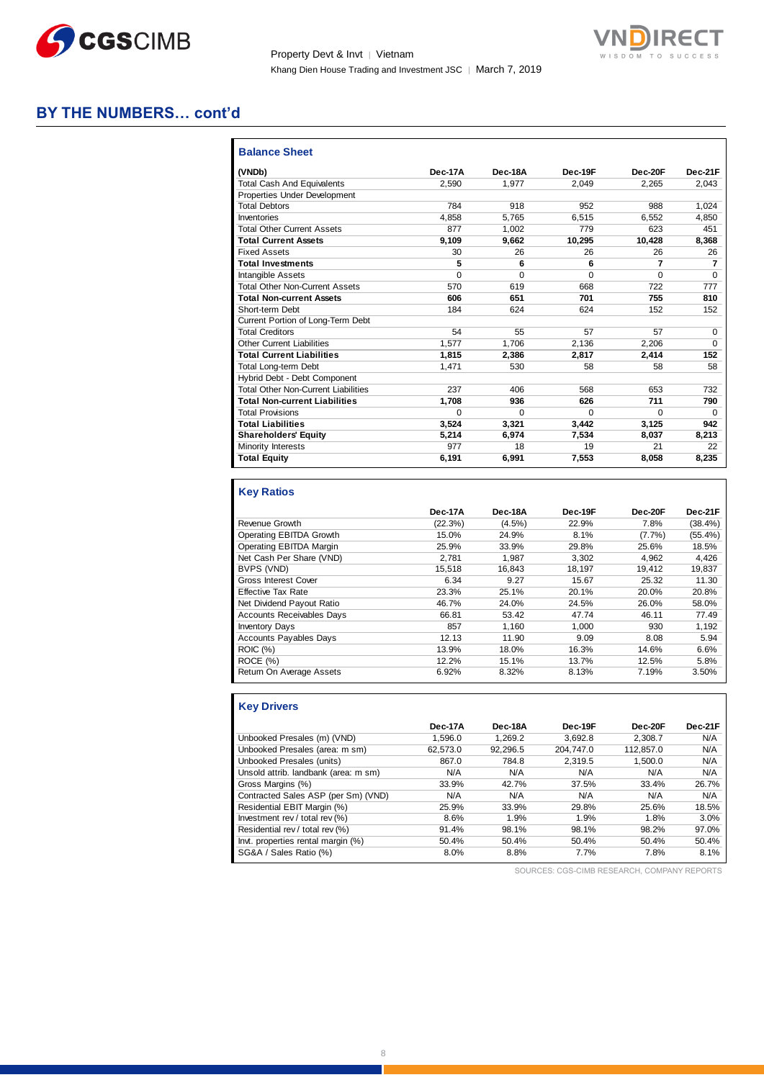

Property Devt & Invt | Vietnam Khang Dien House Trading and Investment JSC | March 7, 2019



# **BY THE NUMBERS… cont'd**

| <b>Balance Sheet</b>                       |          |          |          |          |          |
|--------------------------------------------|----------|----------|----------|----------|----------|
| (VNDb)                                     | Dec-17A  | Dec-18A  | Dec-19F  | Dec-20F  | Dec-21F  |
| <b>Total Cash And Equivalents</b>          | 2.590    | 1.977    | 2.049    | 2.265    | 2.043    |
| Properties Under Development               |          |          |          |          |          |
| <b>Total Debtors</b>                       | 784      | 918      | 952      | 988      | 1.024    |
| Inventories                                | 4.858    | 5.765    | 6.515    | 6.552    | 4.850    |
| <b>Total Other Current Assets</b>          | 877      | 1.002    | 779      | 623      | 451      |
| <b>Total Current Assets</b>                | 9.109    | 9,662    | 10.295   | 10.428   | 8.368    |
| <b>Fixed Assets</b>                        | 30       | 26       | 26       | 26       | 26       |
| <b>Total Investments</b>                   | 5        | 6        | 6        | 7        | 7        |
| <b>Intangible Assets</b>                   | $\Omega$ | $\Omega$ | $\Omega$ | $\Omega$ | $\Omega$ |
| <b>Total Other Non-Current Assets</b>      | 570      | 619      | 668      | 722      | 777      |
| <b>Total Non-current Assets</b>            | 606      | 651      | 701      | 755      | 810      |
| Short-term Debt                            | 184      | 624      | 624      | 152      | 152      |
| Current Portion of Long-Term Debt          |          |          |          |          |          |
| <b>Total Creditors</b>                     | 54       | 55       | 57       | 57       | $\Omega$ |
| <b>Other Current Liabilities</b>           | 1.577    | 1.706    | 2.136    | 2.206    | $\Omega$ |
| <b>Total Current Liabilities</b>           | 1.815    | 2.386    | 2.817    | 2,414    | 152      |
| <b>Total Long-term Debt</b>                | 1.471    | 530      | 58       | 58       | 58       |
| Hybrid Debt - Debt Component               |          |          |          |          |          |
| <b>Total Other Non-Current Liabilities</b> | 237      | 406      | 568      | 653      | 732      |
| <b>Total Non-current Liabilities</b>       | 1.708    | 936      | 626      | 711      | 790      |
| <b>Total Provisions</b>                    | $\Omega$ | $\Omega$ | $\Omega$ | $\Omega$ | $\Omega$ |
| <b>Total Liabilities</b>                   | 3.524    | 3.321    | 3.442    | 3.125    | 942      |
| <b>Shareholders' Equity</b>                | 5.214    | 6.974    | 7,534    | 8.037    | 8.213    |
| Minority Interests                         | 977      | 18       | 19       | 21       | 22       |
| <b>Total Equity</b>                        | 6,191    | 6.991    | 7,553    | 8.058    | 8,235    |
|                                            |          |          |          |          |          |

#### **Key Ratios**

|                                  | Dec-17A | Dec-18A   | Dec-19F | Dec-20F | Dec-21F    |
|----------------------------------|---------|-----------|---------|---------|------------|
| Revenue Growth                   | (22.3%) | $(4.5\%)$ | 22.9%   | 7.8%    | $(38.4\%)$ |
| Operating EBITDA Growth          | 15.0%   | 24.9%     | 8.1%    | (7.7%)  | $(55.4\%)$ |
| Operating EBITDA Margin          | 25.9%   | 33.9%     | 29.8%   | 25.6%   | 18.5%      |
| Net Cash Per Share (VND)         | 2.781   | 1.987     | 3.302   | 4.962   | 4.426      |
| BVPS (VND)                       | 15.518  | 16.843    | 18.197  | 19.412  | 19.837     |
| Gross Interest Cover             | 6.34    | 9.27      | 15.67   | 25.32   | 11.30      |
| <b>Effective Tax Rate</b>        | 23.3%   | 25.1%     | 20.1%   | 20.0%   | 20.8%      |
| Net Dividend Payout Ratio        | 46.7%   | 24.0%     | 24.5%   | 26.0%   | 58.0%      |
| <b>Accounts Receivables Days</b> | 66.81   | 53.42     | 47.74   | 46.11   | 77.49      |
| <b>Inventory Days</b>            | 857     | 1.160     | 1.000   | 930     | 1,192      |
| <b>Accounts Payables Days</b>    | 12.13   | 11.90     | 9.09    | 8.08    | 5.94       |
| <b>ROIC</b> (%)                  | 13.9%   | 18.0%     | 16.3%   | 14.6%   | 6.6%       |
| ROCE (%)                         | 12.2%   | 15.1%     | 13.7%   | 12.5%   | 5.8%       |
| Return On Average Assets         | 6.92%   | 8.32%     | 8.13%   | 7.19%   | 3.50%      |

# **Key Drivers**

|                                      | Dec-17A  | Dec-18A  | Dec-19F   | Dec-20F   | Dec-21F |
|--------------------------------------|----------|----------|-----------|-----------|---------|
| Unbooked Presales (m) (VND)          | 1.596.0  | 1.269.2  | 3.692.8   | 2.308.7   | N/A     |
| Unbooked Presales (area: m sm)       | 62.573.0 | 92.296.5 | 204.747.0 | 112.857.0 | N/A     |
| Unbooked Presales (units)            | 867.0    | 784.8    | 2.319.5   | 1,500.0   | N/A     |
| Unsold attrib. landbank (area: m sm) | N/A      | N/A      | N/A       | N/A       | N/A     |
| Gross Margins (%)                    | 33.9%    | 42.7%    | 37.5%     | 33.4%     | 26.7%   |
| Contracted Sales ASP (per Sm) (VND)  | N/A      | N/A      | N/A       | N/A       | N/A     |
| Residential EBIT Margin (%)          | 25.9%    | 33.9%    | 29.8%     | 25.6%     | 18.5%   |
| Investment rev / total rev (%)       | 8.6%     | 1.9%     | 1.9%      | 1.8%      | 3.0%    |
| Residential rev / total rev (%)      | 91.4%    | 98.1%    | 98.1%     | 98.2%     | 97.0%   |
| Invt. properties rental margin (%)   | 50.4%    | 50.4%    | 50.4%     | 50.4%     | 50.4%   |
| SG&A / Sales Ratio (%)               | 8.0%     | 8.8%     | 7.7%      | 7.8%      | 8.1%    |

SOURCES: CGS-CIMB RESEARCH, COMPANY REPORTS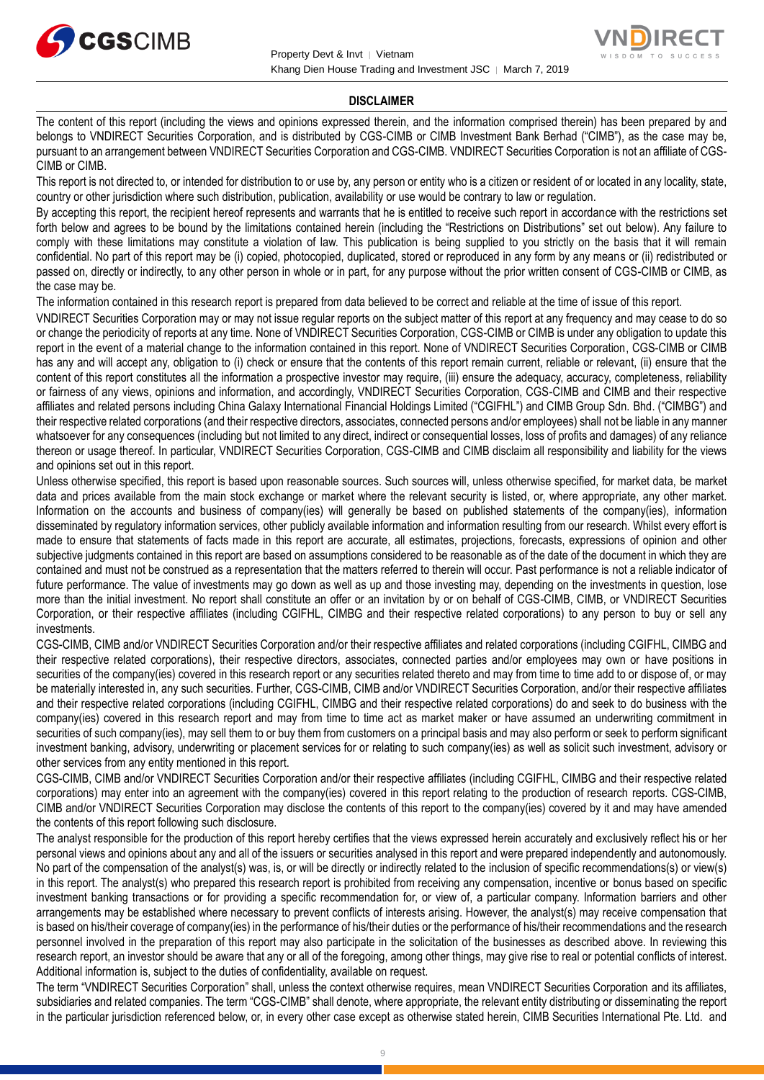



#### **DISCLAIMER**

The content of this report (including the views and opinions expressed therein, and the information comprised therein) has been prepared by and belongs to VNDIRECT Securities Corporation, and is distributed by CGS-CIMB or CIMB Investment Bank Berhad ("CIMB"), as the case may be, pursuant to an arrangement between VNDIRECT Securities Corporation and CGS-CIMB. VNDIRECT Securities Corporation is not an affiliate of CGS-CIMB or CIMB.

This report is not directed to, or intended for distribution to or use by, any person or entity who is a citizen or resident of or located in any locality, state, country or other jurisdiction where such distribution, publication, availability or use would be contrary to law or regulation.

By accepting this report, the recipient hereof represents and warrants that he is entitled to receive such report in accordance with the restrictions set forth below and agrees to be bound by the limitations contained herein (including the "Restrictions on Distributions" set out below). Any failure to comply with these limitations may constitute a violation of law. This publication is being supplied to you strictly on the basis that it will remain confidential. No part of this report may be (i) copied, photocopied, duplicated, stored or reproduced in any form by any means or (ii) redistributed or passed on, directly or indirectly, to any other person in whole or in part, for any purpose without the prior written consent of CGS-CIMB or CIMB, as the case may be.

The information contained in this research report is prepared from data believed to be correct and reliable at the time of issue of this report.

VNDIRECT Securities Corporation may or may not issue regular reports on the subject matter of this report at any frequency and may cease to do so or change the periodicity of reports at any time. None of VNDIRECT Securities Corporation, CGS-CIMB or CIMB is under any obligation to update this report in the event of a material change to the information contained in this report. None of VNDIRECT Securities Corporation, CGS-CIMB or CIMB has any and will accept any, obligation to (i) check or ensure that the contents of this report remain current, reliable or relevant, (ii) ensure that the content of this report constitutes all the information a prospective investor may require, (iii) ensure the adequacy, accuracy, completeness, reliability or fairness of any views, opinions and information, and accordingly, VNDIRECT Securities Corporation, CGS-CIMB and CIMB and their respective affiliates and related persons including China Galaxy International Financial Holdings Limited ("CGIFHL") and CIMB Group Sdn. Bhd. ("CIMBG") and their respective related corporations (and their respective directors, associates, connected persons and/or employees) shall not be liable in any manner whatsoever for any consequences (including but not limited to any direct, indirect or consequential losses, loss of profits and damages) of any reliance thereon or usage thereof. In particular, VNDIRECT Securities Corporation, CGS-CIMB and CIMB disclaim all responsibility and liability for the views and opinions set out in this report.

Unless otherwise specified, this report is based upon reasonable sources. Such sources will, unless otherwise specified, for market data, be market data and prices available from the main stock exchange or market where the relevant security is listed, or, where appropriate, any other market. Information on the accounts and business of company(ies) will generally be based on published statements of the company(ies), information disseminated by regulatory information services, other publicly available information and information resulting from our research. Whilst every effort is made to ensure that statements of facts made in this report are accurate, all estimates, projections, forecasts, expressions of opinion and other subjective judgments contained in this report are based on assumptions considered to be reasonable as of the date of the document in which they are contained and must not be construed as a representation that the matters referred to therein will occur. Past performance is not a reliable indicator of future performance. The value of investments may go down as well as up and those investing may, depending on the investments in question, lose more than the initial investment. No report shall constitute an offer or an invitation by or on behalf of CGS-CIMB, CIMB, or VNDIRECT Securities Corporation, or their respective affiliates (including CGIFHL, CIMBG and their respective related corporations) to any person to buy or sell any investments.

CGS-CIMB, CIMB and/or VNDIRECT Securities Corporation and/or their respective affiliates and related corporations (including CGIFHL, CIMBG and their respective related corporations), their respective directors, associates, connected parties and/or employees may own or have positions in securities of the company(ies) covered in this research report or any securities related thereto and may from time to time add to or dispose of, or may be materially interested in, any such securities. Further, CGS-CIMB, CIMB and/or VNDIRECT Securities Corporation, and/or their respective affiliates and their respective related corporations (including CGIFHL, CIMBG and their respective related corporations) do and seek to do business with the company(ies) covered in this research report and may from time to time act as market maker or have assumed an underwriting commitment in securities of such company(ies), may sell them to or buy them from customers on a principal basis and may also perform or seek to perform significant investment banking, advisory, underwriting or placement services for or relating to such company(ies) as well as solicit such investment, advisory or other services from any entity mentioned in this report.

CGS-CIMB, CIMB and/or VNDIRECT Securities Corporation and/or their respective affiliates (including CGIFHL, CIMBG and their respective related corporations) may enter into an agreement with the company(ies) covered in this report relating to the production of research reports. CGS-CIMB, CIMB and/or VNDIRECT Securities Corporation may disclose the contents of this report to the company(ies) covered by it and may have amended the contents of this report following such disclosure.

The analyst responsible for the production of this report hereby certifies that the views expressed herein accurately and exclusively reflect his or her personal views and opinions about any and all of the issuers or securities analysed in this report and were prepared independently and autonomously. No part of the compensation of the analyst(s) was, is, or will be directly or indirectly related to the inclusion of specific recommendations(s) or view(s) in this report. The analyst(s) who prepared this research report is prohibited from receiving any compensation, incentive or bonus based on specific investment banking transactions or for providing a specific recommendation for, or view of, a particular company. Information barriers and other arrangements may be established where necessary to prevent conflicts of interests arising. However, the analyst(s) may receive compensation that is based on his/their coverage of company(ies) in the performance of his/their duties or the performance of his/their recommendations and the research personnel involved in the preparation of this report may also participate in the solicitation of the businesses as described above. In reviewing this research report, an investor should be aware that any or all of the foregoing, among other things, may give rise to real or potential conflicts of interest. Additional information is, subject to the duties of confidentiality, available on request.

The term "VNDIRECT Securities Corporation" shall, unless the context otherwise requires, mean VNDIRECT Securities Corporation and its affiliates, subsidiaries and related companies. The term "CGS-CIMB" shall denote, where appropriate, the relevant entity distributing or disseminating the report in the particular jurisdiction referenced below, or, in every other case except as otherwise stated herein, CIMB Securities International Pte. Ltd. and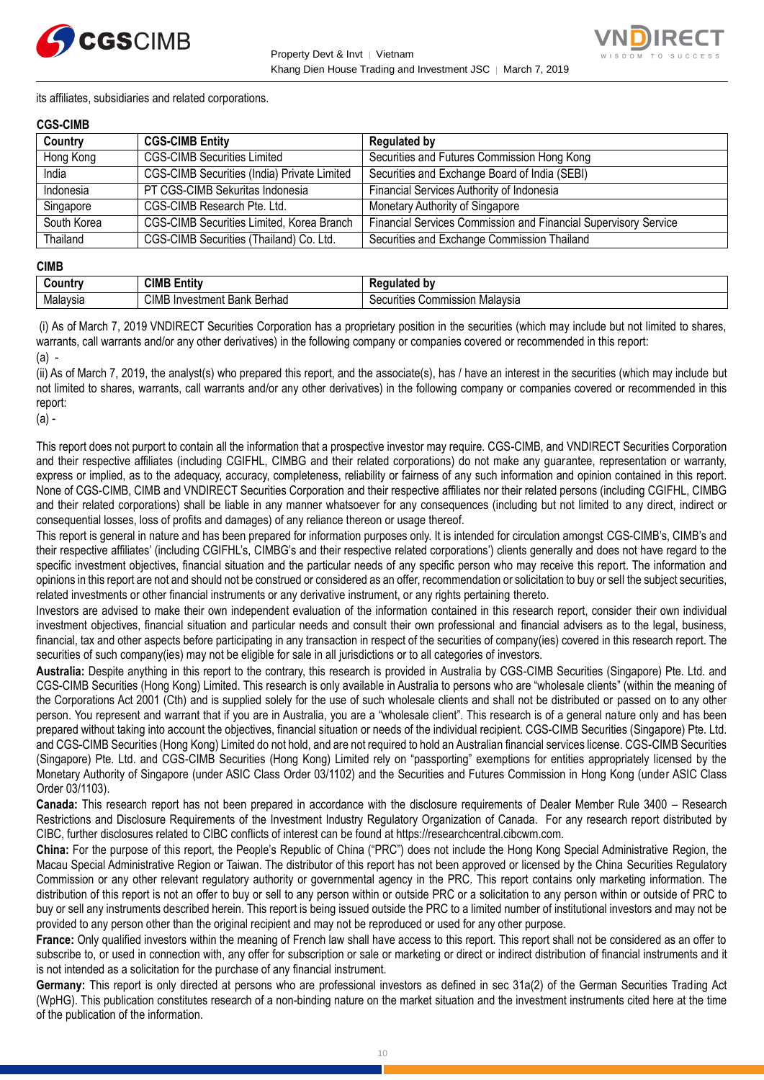



its affiliates, subsidiaries and related corporations.

#### **CGS-CIMB**

| Country     | <b>CGS-CIMB Entity</b>                             | <b>Regulated by</b>                                             |
|-------------|----------------------------------------------------|-----------------------------------------------------------------|
| Hong Kong   | <b>CGS-CIMB Securities Limited</b>                 | Securities and Futures Commission Hong Kong                     |
| India       | <b>CGS-CIMB Securities (India) Private Limited</b> | Securities and Exchange Board of India (SEBI)                   |
| Indonesia   | PT CGS-CIMB Sekuritas Indonesia                    | Financial Services Authority of Indonesia                       |
| Singapore   | CGS-CIMB Research Pte. Ltd.                        | Monetary Authority of Singapore                                 |
| South Korea | CGS-CIMB Securities Limited, Korea Branch          | Financial Services Commission and Financial Supervisory Service |
| Thailand    | CGS-CIMB Securities (Thailand) Co. Ltd.            | Securities and Exchange Commission Thailand                     |

#### **CIMB**

| ∶ountr\  | <b>CIML</b><br>.<br>- -<br>Entity            | b٧<br>--- -<br>.<br>παιει                                |
|----------|----------------------------------------------|----------------------------------------------------------|
| Malavsia | CIMB<br>Berhad<br>Investment<br>レヘハレ<br>Dank | Malavsia<br>`ommissior<br>$\sim$<br>urities<br>vv.<br>ುರ |

(i) As of March 7, 2019 VNDIRECT Securities Corporation has a proprietary position in the securities (which may include but not limited to shares, warrants, call warrants and/or any other derivatives) in the following company or companies covered or recommended in this report: (a) -

(ii) As of March 7, 2019, the analyst(s) who prepared this report, and the associate(s), has / have an interest in the securities (which may include but not limited to shares, warrants, call warrants and/or any other derivatives) in the following company or companies covered or recommended in this report:

(a) -

This report does not purport to contain all the information that a prospective investor may require. CGS-CIMB, and VNDIRECT Securities Corporation and their respective affiliates (including CGIFHL, CIMBG and their related corporations) do not make any guarantee, representation or warranty, express or implied, as to the adequacy, accuracy, completeness, reliability or fairness of any such information and opinion contained in this report. None of CGS-CIMB, CIMB and VNDIRECT Securities Corporation and their respective affiliates nor their related persons (including CGIFHL, CIMBG and their related corporations) shall be liable in any manner whatsoever for any consequences (including but not limited to any direct, indirect or consequential losses, loss of profits and damages) of any reliance thereon or usage thereof.

This report is general in nature and has been prepared for information purposes only. It is intended for circulation amongst CGS-CIMB's, CIMB's and their respective affiliates' (including CGIFHL's, CIMBG's and their respective related corporations') clients generally and does not have regard to the specific investment objectives, financial situation and the particular needs of any specific person who may receive this report. The information and opinions in this report are not and should not be construed or considered as an offer, recommendation or solicitation to buy or sell the subject securities, related investments or other financial instruments or any derivative instrument, or any rights pertaining thereto.

Investors are advised to make their own independent evaluation of the information contained in this research report, consider their own individual investment objectives, financial situation and particular needs and consult their own professional and financial advisers as to the legal, business, financial, tax and other aspects before participating in any transaction in respect of the securities of company(ies) covered in this research report. The securities of such company(ies) may not be eligible for sale in all jurisdictions or to all categories of investors.

**Australia:** Despite anything in this report to the contrary, this research is provided in Australia by CGS-CIMB Securities (Singapore) Pte. Ltd. and CGS-CIMB Securities (Hong Kong) Limited. This research is only available in Australia to persons who are "wholesale clients" (within the meaning of the Corporations Act 2001 (Cth) and is supplied solely for the use of such wholesale clients and shall not be distributed or passed on to any other person. You represent and warrant that if you are in Australia, you are a "wholesale client". This research is of a general nature only and has been prepared without taking into account the objectives, financial situation or needs of the individual recipient. CGS-CIMB Securities (Singapore) Pte. Ltd. and CGS-CIMB Securities (Hong Kong) Limited do not hold, and are not required to hold an Australian financial services license. CGS-CIMB Securities (Singapore) Pte. Ltd. and CGS-CIMB Securities (Hong Kong) Limited rely on "passporting" exemptions for entities appropriately licensed by the Monetary Authority of Singapore (under ASIC Class Order 03/1102) and the Securities and Futures Commission in Hong Kong (under ASIC Class Order 03/1103).

**Canada:** This research report has not been prepared in accordance with the disclosure requirements of Dealer Member Rule 3400 – Research Restrictions and Disclosure Requirements of the Investment Industry Regulatory Organization of Canada. For any research report distributed by CIBC, further disclosures related to CIBC conflicts of interest can be found at https://researchcentral.cibcwm.com.

**China:** For the purpose of this report, the People's Republic of China ("PRC") does not include the Hong Kong Special Administrative Region, the Macau Special Administrative Region or Taiwan. The distributor of this report has not been approved or licensed by the China Securities Regulatory Commission or any other relevant regulatory authority or governmental agency in the PRC. This report contains only marketing information. The distribution of this report is not an offer to buy or sell to any person within or outside PRC or a solicitation to any person within or outside of PRC to buy or sell any instruments described herein. This report is being issued outside the PRC to a limited number of institutional investors and may not be provided to any person other than the original recipient and may not be reproduced or used for any other purpose.

**France:** Only qualified investors within the meaning of French law shall have access to this report. This report shall not be considered as an offer to subscribe to, or used in connection with, any offer for subscription or sale or marketing or direct or indirect distribution of financial instruments and it is not intended as a solicitation for the purchase of any financial instrument.

**Germany:** This report is only directed at persons who are professional investors as defined in sec 31a(2) of the German Securities Trading Act (WpHG). This publication constitutes research of a non-binding nature on the market situation and the investment instruments cited here at the time of the publication of the information.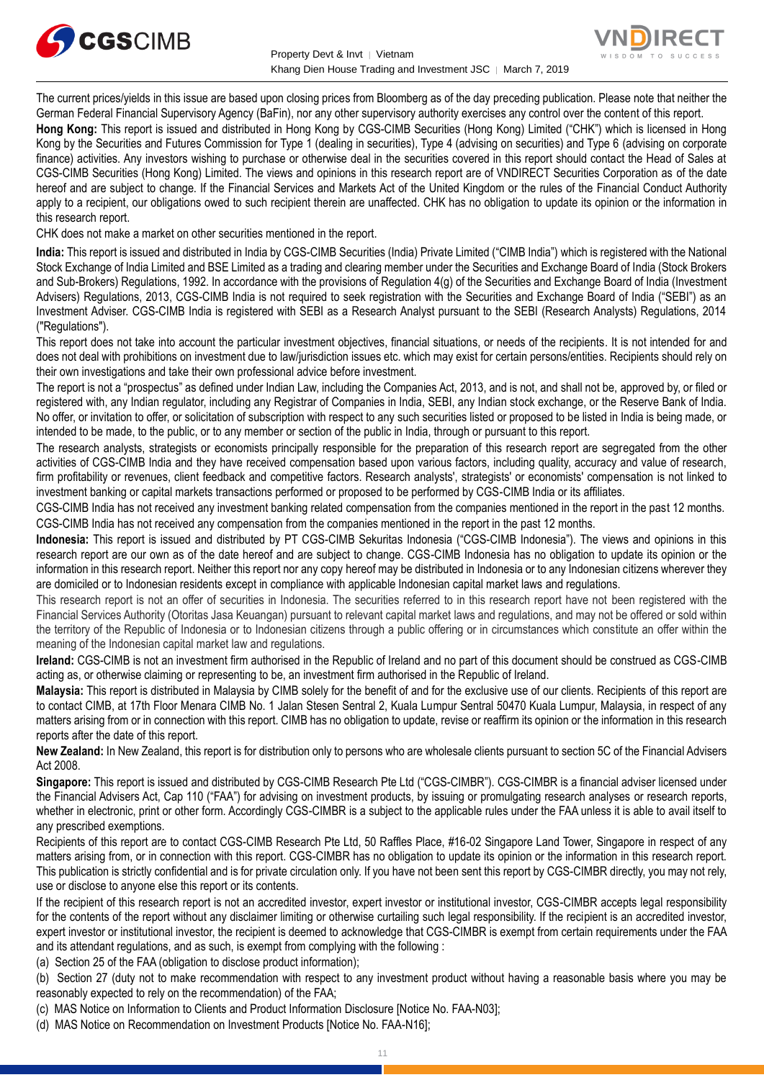



The current prices/yields in this issue are based upon closing prices from Bloomberg as of the day preceding publication. Please note that neither the German Federal Financial Supervisory Agency (BaFin), nor any other supervisory authority exercises any control over the content of this report.

**Hong Kong:** This report is issued and distributed in Hong Kong by CGS-CIMB Securities (Hong Kong) Limited ("CHK") which is licensed in Hong Kong by the Securities and Futures Commission for Type 1 (dealing in securities), Type 4 (advising on securities) and Type 6 (advising on corporate finance) activities. Any investors wishing to purchase or otherwise deal in the securities covered in this report should contact the Head of Sales at CGS-CIMB Securities (Hong Kong) Limited. The views and opinions in this research report are of VNDIRECT Securities Corporation as of the date hereof and are subject to change. If the Financial Services and Markets Act of the United Kingdom or the rules of the Financial Conduct Authority apply to a recipient, our obligations owed to such recipient therein are unaffected. CHK has no obligation to update its opinion or the information in this research report.

CHK does not make a market on other securities mentioned in the report.

**India:** This report is issued and distributed in India by CGS-CIMB Securities (India) Private Limited ("CIMB India") which is registered with the National Stock Exchange of India Limited and BSE Limited as a trading and clearing member under the Securities and Exchange Board of India (Stock Brokers and Sub-Brokers) Regulations, 1992. In accordance with the provisions of Regulation 4(g) of the Securities and Exchange Board of India (Investment Advisers) Regulations, 2013, CGS-CIMB India is not required to seek registration with the Securities and Exchange Board of India ("SEBI") as an Investment Adviser. CGS-CIMB India is registered with SEBI as a Research Analyst pursuant to the SEBI (Research Analysts) Regulations, 2014 ("Regulations").

This report does not take into account the particular investment objectives, financial situations, or needs of the recipients. It is not intended for and does not deal with prohibitions on investment due to law/jurisdiction issues etc. which may exist for certain persons/entities. Recipients should rely on their own investigations and take their own professional advice before investment.

The report is not a "prospectus" as defined under Indian Law, including the Companies Act, 2013, and is not, and shall not be, approved by, or filed or registered with, any Indian regulator, including any Registrar of Companies in India, SEBI, any Indian stock exchange, or the Reserve Bank of India. No offer, or invitation to offer, or solicitation of subscription with respect to any such securities listed or proposed to be listed in India is being made, or intended to be made, to the public, or to any member or section of the public in India, through or pursuant to this report.

The research analysts, strategists or economists principally responsible for the preparation of this research report are segregated from the other activities of CGS-CIMB India and they have received compensation based upon various factors, including quality, accuracy and value of research, firm profitability or revenues, client feedback and competitive factors. Research analysts', strategists' or economists' compensation is not linked to investment banking or capital markets transactions performed or proposed to be performed by CGS-CIMB India or its affiliates.

CGS-CIMB India has not received any investment banking related compensation from the companies mentioned in the report in the past 12 months. CGS-CIMB India has not received any compensation from the companies mentioned in the report in the past 12 months.

**Indonesia:** This report is issued and distributed by PT CGS-CIMB Sekuritas Indonesia ("CGS-CIMB Indonesia"). The views and opinions in this research report are our own as of the date hereof and are subject to change. CGS-CIMB Indonesia has no obligation to update its opinion or the information in this research report. Neither this report nor any copy hereof may be distributed in Indonesia or to any Indonesian citizens wherever they are domiciled or to Indonesian residents except in compliance with applicable Indonesian capital market laws and regulations.

This research report is not an offer of securities in Indonesia. The securities referred to in this research report have not been registered with the Financial Services Authority (Otoritas Jasa Keuangan) pursuant to relevant capital market laws and regulations, and may not be offered or sold within the territory of the Republic of Indonesia or to Indonesian citizens through a public offering or in circumstances which constitute an offer within the meaning of the Indonesian capital market law and regulations.

**Ireland:** CGS-CIMB is not an investment firm authorised in the Republic of Ireland and no part of this document should be construed as CGS-CIMB acting as, or otherwise claiming or representing to be, an investment firm authorised in the Republic of Ireland.

**Malaysia:** This report is distributed in Malaysia by CIMB solely for the benefit of and for the exclusive use of our clients. Recipients of this report are to contact CIMB, at 17th Floor Menara CIMB No. 1 Jalan Stesen Sentral 2, Kuala Lumpur Sentral 50470 Kuala Lumpur, Malaysia, in respect of any matters arising from or in connection with this report. CIMB has no obligation to update, revise or reaffirm its opinion or the information in this research reports after the date of this report.

**New Zealand:** In New Zealand, this report is for distribution only to persons who are wholesale clients pursuant to section 5C of the Financial Advisers Act 2008.

**Singapore:** This report is issued and distributed by CGS-CIMB Research Pte Ltd ("CGS-CIMBR"). CGS-CIMBR is a financial adviser licensed under the Financial Advisers Act, Cap 110 ("FAA") for advising on investment products, by issuing or promulgating research analyses or research reports, whether in electronic, print or other form. Accordingly CGS-CIMBR is a subject to the applicable rules under the FAA unless it is able to avail itself to any prescribed exemptions.

Recipients of this report are to contact CGS-CIMB Research Pte Ltd, 50 Raffles Place, #16-02 Singapore Land Tower, Singapore in respect of any matters arising from, or in connection with this report. CGS-CIMBR has no obligation to update its opinion or the information in this research report. This publication is strictly confidential and is for private circulation only. If you have not been sent this report by CGS-CIMBR directly, you may not rely, use or disclose to anyone else this report or its contents.

If the recipient of this research report is not an accredited investor, expert investor or institutional investor, CGS-CIMBR accepts legal responsibility for the contents of the report without any disclaimer limiting or otherwise curtailing such legal responsibility. If the recipient is an accredited investor, expert investor or institutional investor, the recipient is deemed to acknowledge that CGS-CIMBR is exempt from certain requirements under the FAA and its attendant regulations, and as such, is exempt from complying with the following :

(a) Section 25 of the FAA (obligation to disclose product information);

(b) Section 27 (duty not to make recommendation with respect to any investment product without having a reasonable basis where you may be reasonably expected to rely on the recommendation) of the FAA;

(c) MAS Notice on Information to Clients and Product Information Disclosure [Notice No. FAA-N03];

(d) MAS Notice on Recommendation on Investment Products [Notice No. FAA-N16];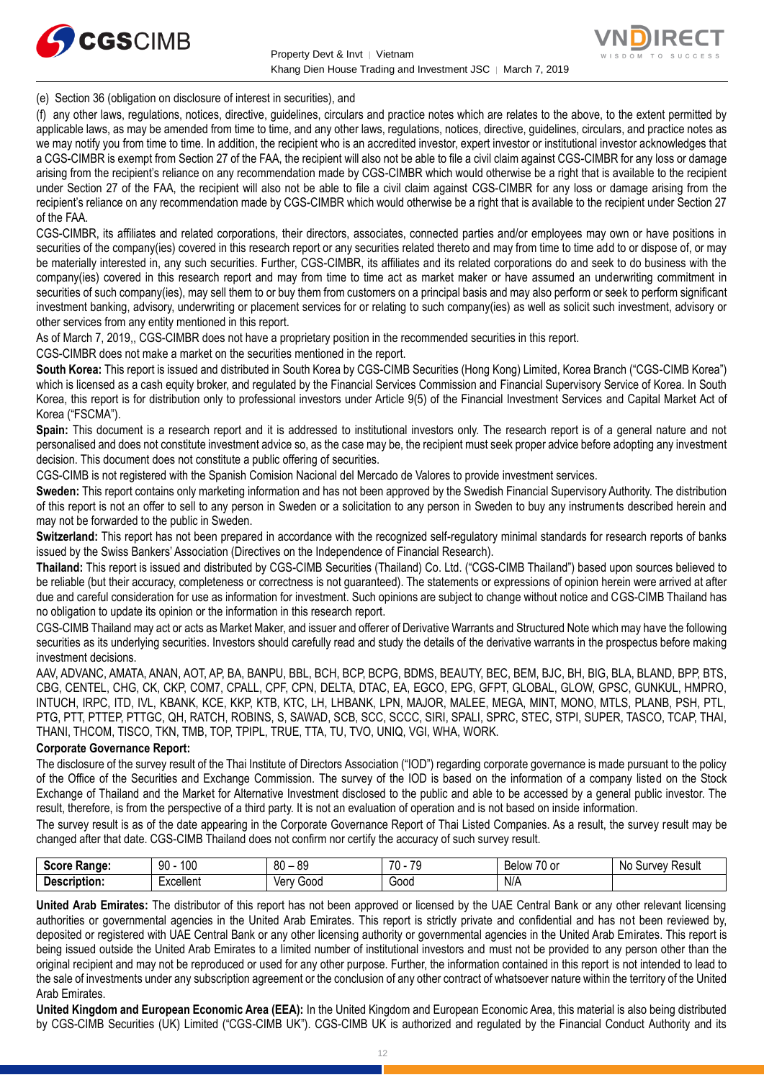



(e) Section 36 (obligation on disclosure of interest in securities), and

(f) any other laws, regulations, notices, directive, guidelines, circulars and practice notes which are relates to the above, to the extent permitted by applicable laws, as may be amended from time to time, and any other laws, regulations, notices, directive, guidelines, circulars, and practice notes as we may notify you from time to time. In addition, the recipient who is an accredited investor, expert investor or institutional investor acknowledges that a CGS-CIMBR is exempt from Section 27 of the FAA, the recipient will also not be able to file a civil claim against CGS-CIMBR for any loss or damage arising from the recipient's reliance on any recommendation made by CGS-CIMBR which would otherwise be a right that is available to the recipient under Section 27 of the FAA, the recipient will also not be able to file a civil claim against CGS-CIMBR for any loss or damage arising from the recipient's reliance on any recommendation made by CGS-CIMBR which would otherwise be a right that is available to the recipient under Section 27 of the FAA.

CGS-CIMBR, its affiliates and related corporations, their directors, associates, connected parties and/or employees may own or have positions in securities of the company(ies) covered in this research report or any securities related thereto and may from time to time add to or dispose of, or may be materially interested in, any such securities. Further, CGS-CIMBR, its affiliates and its related corporations do and seek to do business with the company(ies) covered in this research report and may from time to time act as market maker or have assumed an underwriting commitment in securities of such company(ies), may sell them to or buy them from customers on a principal basis and may also perform or seek to perform significant investment banking, advisory, underwriting or placement services for or relating to such company(ies) as well as solicit such investment, advisory or other services from any entity mentioned in this report.

As of March 7, 2019,, CGS-CIMBR does not have a proprietary position in the recommended securities in this report.

CGS-CIMBR does not make a market on the securities mentioned in the report.

**South Korea:** This report is issued and distributed in South Korea by CGS-CIMB Securities (Hong Kong) Limited, Korea Branch ("CGS-CIMB Korea") which is licensed as a cash equity broker, and regulated by the Financial Services Commission and Financial Supervisory Service of Korea. In South Korea, this report is for distribution only to professional investors under Article 9(5) of the Financial Investment Services and Capital Market Act of Korea ("FSCMA").

**Spain:** This document is a research report and it is addressed to institutional investors only. The research report is of a general nature and not personalised and does not constitute investment advice so, as the case may be, the recipient must seek proper advice before adopting any investment decision. This document does not constitute a public offering of securities.

CGS-CIMB is not registered with the Spanish Comision Nacional del Mercado de Valores to provide investment services.

**Sweden:** This report contains only marketing information and has not been approved by the Swedish Financial Supervisory Authority. The distribution of this report is not an offer to sell to any person in Sweden or a solicitation to any person in Sweden to buy any instruments described herein and may not be forwarded to the public in Sweden.

**Switzerland:** This report has not been prepared in accordance with the recognized self-regulatory minimal standards for research reports of banks issued by the Swiss Bankers' Association (Directives on the Independence of Financial Research).

**Thailand:** This report is issued and distributed by CGS-CIMB Securities (Thailand) Co. Ltd. ("CGS-CIMB Thailand") based upon sources believed to be reliable (but their accuracy, completeness or correctness is not guaranteed). The statements or expressions of opinion herein were arrived at after due and careful consideration for use as information for investment. Such opinions are subject to change without notice and CGS-CIMB Thailand has no obligation to update its opinion or the information in this research report.

CGS-CIMB Thailand may act or acts as Market Maker, and issuer and offerer of Derivative Warrants and Structured Note which may have the following securities as its underlying securities. Investors should carefully read and study the details of the derivative warrants in the prospectus before making investment decisions.

AAV, ADVANC, AMATA, ANAN, AOT, AP, BA, BANPU, BBL, BCH, BCP, BCPG, BDMS, BEAUTY, BEC, BEM, BJC, BH, BIG, BLA, BLAND, BPP, BTS, CBG, CENTEL, CHG, CK, CKP, COM7, CPALL, CPF, CPN, DELTA, DTAC, EA, EGCO, EPG, GFPT, GLOBAL, GLOW, GPSC, GUNKUL, HMPRO, INTUCH, IRPC, ITD, IVL, KBANK, KCE, KKP, KTB, KTC, LH, LHBANK, LPN, MAJOR, MALEE, MEGA, MINT, MONO, MTLS, PLANB, PSH, PTL, PTG, PTT, PTTEP, PTTGC, QH, RATCH, ROBINS, S, SAWAD, SCB, SCC, SCCC, SIRI, SPALI, SPRC, STEC, STPI, SUPER, TASCO, TCAP, THAI, THANI, THCOM, TISCO, TKN, TMB, TOP, TPIPL, TRUE, TTA, TU, TVO, UNIQ, VGI, WHA, WORK.

#### **Corporate Governance Report:**

The disclosure of the survey result of the Thai Institute of Directors Association ("IOD") regarding corporate governance is made pursuant to the policy of the Office of the Securities and Exchange Commission. The survey of the IOD is based on the information of a company listed on the Stock Exchange of Thailand and the Market for Alternative Investment disclosed to the public and able to be accessed by a general public investor. The result, therefore, is from the perspective of a third party. It is not an evaluation of operation and is not based on inside information.

The survey result is as of the date appearing in the Corporate Governance Report of Thai Listed Companies. As a result, the survey result may be changed after that date. CGS-CIMB Thailand does not confirm nor certify the accuracy of such survey result.

| <b>Score</b><br><b>Range:</b> | 100<br>90                                | $80 -$<br>89 | 70<br>$\overline{\phantom{a}}$<br>. | $\rightarrow$<br>. .<br>Below<br>⊺∪ or | No<br>Result<br>iurvev<br>ັບ |
|-------------------------------|------------------------------------------|--------------|-------------------------------------|----------------------------------------|------------------------------|
| Description:                  | Lynnllon <sup>+</sup><br>- ^ ~ * * * * * | Good<br>∨er∖ | 000ن                                | N/A                                    |                              |

**United Arab Emirates:** The distributor of this report has not been approved or licensed by the UAE Central Bank or any other relevant licensing authorities or governmental agencies in the United Arab Emirates. This report is strictly private and confidential and has not been reviewed by, deposited or registered with UAE Central Bank or any other licensing authority or governmental agencies in the United Arab Emirates. This report is being issued outside the United Arab Emirates to a limited number of institutional investors and must not be provided to any person other than the original recipient and may not be reproduced or used for any other purpose. Further, the information contained in this report is not intended to lead to the sale of investments under any subscription agreement or the conclusion of any other contract of whatsoever nature within the territory of the United Arab Emirates.

**United Kingdom and European Economic Area (EEA):** In the United Kingdom and European Economic Area, this material is also being distributed by CGS-CIMB Securities (UK) Limited ("CGS-CIMB UK"). CGS-CIMB UK is authorized and regulated by the Financial Conduct Authority and its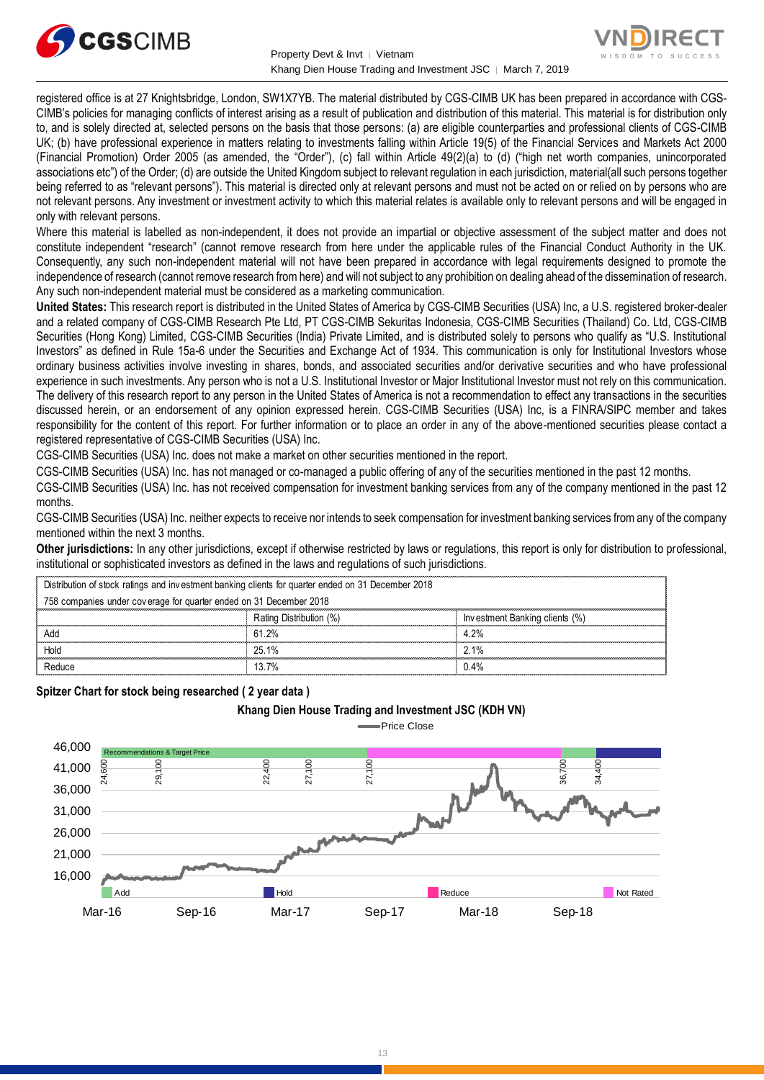



registered office is at 27 Knightsbridge, London, SW1X7YB. The material distributed by CGS-CIMB UK has been prepared in accordance with CGS-CIMB's policies for managing conflicts of interest arising as a result of publication and distribution of this material. This material is for distribution only to, and is solely directed at, selected persons on the basis that those persons: (a) are eligible counterparties and professional clients of CGS-CIMB UK; (b) have professional experience in matters relating to investments falling within Article 19(5) of the Financial Services and Markets Act 2000 (Financial Promotion) Order 2005 (as amended, the "Order"), (c) fall within Article 49(2)(a) to (d) ("high net worth companies, unincorporated associations etc") of the Order; (d) are outside the United Kingdom subject to relevant regulation in each jurisdiction, material(all such persons together being referred to as "relevant persons"). This material is directed only at relevant persons and must not be acted on or relied on by persons who are not relevant persons. Any investment or investment activity to which this material relates is available only to relevant persons and will be engaged in only with relevant persons.

Where this material is labelled as non-independent, it does not provide an impartial or objective assessment of the subject matter and does not constitute independent "research" (cannot remove research from here under the applicable rules of the Financial Conduct Authority in the UK. Consequently, any such non-independent material will not have been prepared in accordance with legal requirements designed to promote the independence of research (cannot remove research from here) and will not subject to any prohibition on dealing ahead of the dissemination of research. Any such non-independent material must be considered as a marketing communication.

**United States:** This research report is distributed in the United States of America by CGS-CIMB Securities (USA) Inc, a U.S. registered broker-dealer and a related company of CGS-CIMB Research Pte Ltd, PT CGS-CIMB Sekuritas Indonesia, CGS-CIMB Securities (Thailand) Co. Ltd, CGS-CIMB Securities (Hong Kong) Limited, CGS-CIMB Securities (India) Private Limited, and is distributed solely to persons who qualify as "U.S. Institutional Investors" as defined in Rule 15a-6 under the Securities and Exchange Act of 1934. This communication is only for Institutional Investors whose ordinary business activities involve investing in shares, bonds, and associated securities and/or derivative securities and who have professional experience in such investments. Any person who is not a U.S. Institutional Investor or Major Institutional Investor must not rely on this communication. The delivery of this research report to any person in the United States of America is not a recommendation to effect any transactions in the securities discussed herein, or an endorsement of any opinion expressed herein. CGS-CIMB Securities (USA) Inc, is a FINRA/SIPC member and takes responsibility for the content of this report. For further information or to place an order in any of the above-mentioned securities please contact a registered representative of CGS-CIMB Securities (USA) Inc.

CGS-CIMB Securities (USA) Inc. does not make a market on other securities mentioned in the report.

CGS-CIMB Securities (USA) Inc. has not managed or co-managed a public offering of any of the securities mentioned in the past 12 months.

CGS-CIMB Securities (USA) Inc. has not received compensation for investment banking services from any of the company mentioned in the past 12 months.

CGS-CIMB Securities (USA) Inc. neither expects to receive nor intends to seek compensation for investment banking services from any of the company mentioned within the next 3 months.

**Other jurisdictions:** In any other jurisdictions, except if otherwise restricted by laws or regulations, this report is only for distribution to professional, institutional or sophisticated investors as defined in the laws and regulations of such jurisdictions. entioned within the next 3 months.<br> **ther jurisdictions:** In any other jurisdictions, except if otherwise restricted by laws<br>
stitutional or sophisticated investors as defined in the laws and regulations of such j<br>
Distrib

| <b>Other jurisdictions:</b> In any other jurisdictions, except if otherwise restricted by laws or regulations, this report is only for distribution to<br>institutional or sophisticated investors as defined in the laws and regulations of such jurisdictions. |                                                                                                    |                         |                                |  |
|------------------------------------------------------------------------------------------------------------------------------------------------------------------------------------------------------------------------------------------------------------------|----------------------------------------------------------------------------------------------------|-------------------------|--------------------------------|--|
|                                                                                                                                                                                                                                                                  | Distribution of stock ratings and investment banking clients for quarter ended on 31 December 2018 |                         |                                |  |
|                                                                                                                                                                                                                                                                  | 758 companies under coverage for quarter ended on 31 December 2018                                 |                         |                                |  |
|                                                                                                                                                                                                                                                                  |                                                                                                    | Rating Distribution (%) | Investment Banking clients (%) |  |
|                                                                                                                                                                                                                                                                  | Add                                                                                                | 61.2%                   | 4.2%                           |  |
|                                                                                                                                                                                                                                                                  | Hold                                                                                               | 25.1%                   | 2.1%                           |  |
|                                                                                                                                                                                                                                                                  | Reduce                                                                                             | 13.7%                   | 0.4%                           |  |
|                                                                                                                                                                                                                                                                  |                                                                                                    |                         |                                |  |

**Spitzer Chart for stock being researched ( 2 year data )** 

#### **Khang Dien House Trading and Investment JSC (KDH VN)**



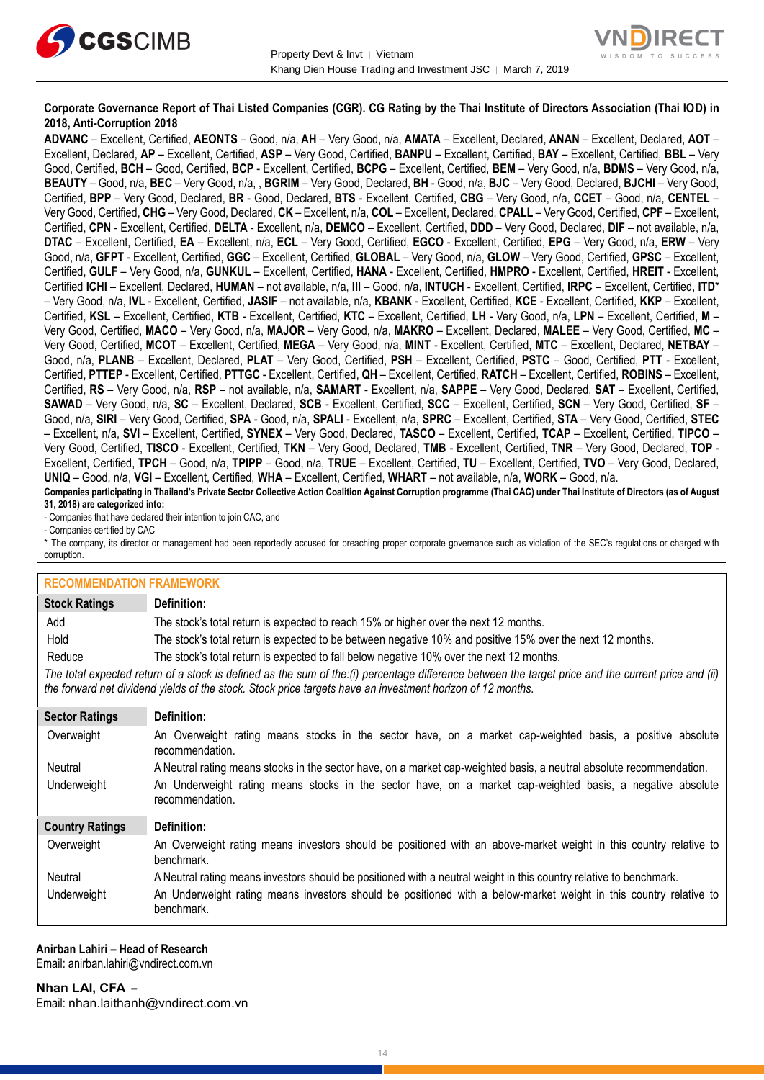



#### **Corporate Governance Report of Thai Listed Companies (CGR). CG Rating by the Thai Institute of Directors Association (Thai IOD) in 2018, Anti-Corruption 2018**

**ADVANC** – Excellent, Certified, **AEONTS** – Good, n/a, **AH** – Very Good, n/a, **AMATA** – Excellent, Declared, **ANAN** – Excellent, Declared, **AOT** – Excellent, Declared, **AP** – Excellent, Certified, **ASP** – Very Good, Certified, **BANPU** – Excellent, Certified, **BAY** – Excellent, Certified, **BBL** – Very Good, Certified, **BCH** – Good, Certified, **BCP** - Excellent, Certified, **BCPG** – Excellent, Certified, **BEM** – Very Good, n/a, **BDMS** – Very Good, n/a, **BEAUTY** – Good, n/a, **BEC** – Very Good, n/a, , **BGRIM** – Very Good, Declared, **BH** - Good, n/a, **BJC** – Very Good, Declared, **BJCHI** – Very Good, Certified, **BPP** – Very Good, Declared, **BR** - Good, Declared, **BTS** - Excellent, Certified, **CBG** – Very Good, n/a, **CCET** – Good, n/a, **CENTEL** – Very Good, Certified, **CHG** – Very Good, Declared, **CK** – Excellent, n/a, **COL** – Excellent, Declared, **CPALL** – Very Good, Certified, **CPF** – Excellent, Certified, **CPN** - Excellent, Certified, **DELTA** - Excellent, n/a, **DEMCO** – Excellent, Certified, **DDD** – Very Good, Declared, **DIF** – not available, n/a, **DTAC** – Excellent, Certified, **EA** – Excellent, n/a, **ECL** – Very Good, Certified, **EGCO** - Excellent, Certified, **EPG** – Very Good, n/a, **ERW** – Very Good, n/a, **GFPT** - Excellent, Certified, **GGC** – Excellent, Certified, **GLOBAL** – Very Good, n/a, **GLOW** – Very Good, Certified, **GPSC** – Excellent, Certified, **GULF** – Very Good, n/a, **GUNKUL** – Excellent, Certified, **HANA** - Excellent, Certified, **HMPRO** - Excellent, Certified, **HREIT** - Excellent, Certified **ICHI** – Excellent, Declared, **HUMAN** – not available, n/a, **III** – Good, n/a, **INTUCH** - Excellent, Certified, **IRPC** – Excellent, Certified, **ITD**\* – Very Good, n/a, **IVL** - Excellent, Certified, **JASIF** – not available, n/a, **KBANK** - Excellent, Certified, **KCE** - Excellent, Certified, **KKP** – Excellent, Certified, **KSL** – Excellent, Certified, **KTB** - Excellent, Certified, **KTC** – Excellent, Certified, **LH** - Very Good, n/a, **LPN** – Excellent, Certified, **M** – Very Good, Certified, **MACO** – Very Good, n/a, **MAJOR** – Very Good, n/a, **MAKRO** – Excellent, Declared, **MALEE** – Very Good, Certified, **MC** – Very Good, Certified, **MCOT** – Excellent, Certified, **MEGA** – Very Good, n/a, **MINT** - Excellent, Certified, **MTC** – Excellent, Declared, **NETBAY** – Good, n/a, **PLANB** – Excellent, Declared, **PLAT** – Very Good, Certified, **PSH** – Excellent, Certified, **PSTC** – Good, Certified, **PTT** - Excellent, Certified, **PTTEP** - Excellent, Certified, **PTTGC** - Excellent, Certified, **QH** – Excellent, Certified, **RATCH** – Excellent, Certified, **ROBINS** – Excellent, Certified, **RS** – Very Good, n/a, **RSP** – not available, n/a, **SAMART** - Excellent, n/a, **SAPPE** – Very Good, Declared, **SAT** – Excellent, Certified, **SAWAD** – Very Good, n/a, **SC** – Excellent, Declared, **SCB** - Excellent, Certified, **SCC** – Excellent, Certified, **SCN** – Very Good, Certified, **SF** – Good, n/a, **SIRI** – Very Good, Certified, **SPA** - Good, n/a, **SPALI** - Excellent, n/a, **SPRC** – Excellent, Certified, **STA** – Very Good, Certified, **STEC** – Excellent, n/a, **SVI** – Excellent, Certified, **SYNEX** – Very Good, Declared, **TASCO** – Excellent, Certified, **TCAP** – Excellent, Certified, **TIPCO** – Very Good, Certified, **TISCO** - Excellent, Certified, **TKN** – Very Good, Declared, **TMB** - Excellent, Certified, **TNR** – Very Good, Declared, **TOP** - Excellent, Certified, **TPCH** – Good, n/a, **TPIPP** – Good, n/a, **TRUE** – Excellent, Certified, **TU** – Excellent, Certified, **TVO** – Very Good, Declared, **UNIQ** – Good, n/a, **VGI** – Excellent, Certified, **WHA** – Excellent, Certified, **WHART** – not available, n/a, **WORK** – Good, n/a.

**Companies participating in Thailand's Private Sector Collective Action Coalition Against Corruption programme (Thai CAC) under Thai Institute of Directors (as of August 31, 2018) are categorized into:**

- Companies that have declared their intention to join CAC, and

- Companies certified by CAC

\* The company, its director or management had been reportedly accused for breaching proper corporate governance such as violation of the SEC's regulations or charged with corruption.

### **RECOMMENDATION FRAMEWORK**

| <b>Stock Ratings</b>                                                                                                                                                                                                                                              | Definition:                                                                                                                     |  |  |
|-------------------------------------------------------------------------------------------------------------------------------------------------------------------------------------------------------------------------------------------------------------------|---------------------------------------------------------------------------------------------------------------------------------|--|--|
| Add                                                                                                                                                                                                                                                               | The stock's total return is expected to reach 15% or higher over the next 12 months.                                            |  |  |
| Hold                                                                                                                                                                                                                                                              | The stock's total return is expected to be between negative 10% and positive 15% over the next 12 months.                       |  |  |
| Reduce                                                                                                                                                                                                                                                            | The stock's total return is expected to fall below negative 10% over the next 12 months.                                        |  |  |
| The total expected return of a stock is defined as the sum of the:(i) percentage difference between the target price and the current price and (ii)<br>the forward net dividend yields of the stock. Stock price targets have an investment horizon of 12 months. |                                                                                                                                 |  |  |
| <b>Sector Ratings</b>                                                                                                                                                                                                                                             | Definition:                                                                                                                     |  |  |
| Overweight                                                                                                                                                                                                                                                        | An Overweight rating means stocks in the sector have, on a market cap-weighted basis, a positive absolute<br>recommendation.    |  |  |
| Neutral                                                                                                                                                                                                                                                           | A Neutral rating means stocks in the sector have, on a market cap-weighted basis, a neutral absolute recommendation.            |  |  |
| Underweight                                                                                                                                                                                                                                                       | An Underweight rating means stocks in the sector have, on a market cap-weighted basis, a negative absolute<br>recommendation.   |  |  |
| <b>Country Ratings</b>                                                                                                                                                                                                                                            | Definition:                                                                                                                     |  |  |
| Overweight                                                                                                                                                                                                                                                        | An Overweight rating means investors should be positioned with an above-market weight in this country relative to<br>benchmark. |  |  |
| Neutral                                                                                                                                                                                                                                                           | A Neutral rating means investors should be positioned with a neutral weight in this country relative to benchmark.              |  |  |
| Underweight                                                                                                                                                                                                                                                       | An Underweight rating means investors should be positioned with a below-market weight in this country relative to<br>benchmark. |  |  |

# **Anirban Lahiri – Head of Research**

Email: [anirban.lahiri@vndirect.com.vn](mailto:anirban.lahiri@vndirect.com.vn)

**Nhan LAI, CFA –** Email: [nhan.laithanh@vndirect.com.vn](mailto:nhan.laithanh@vndirect.com.vn)